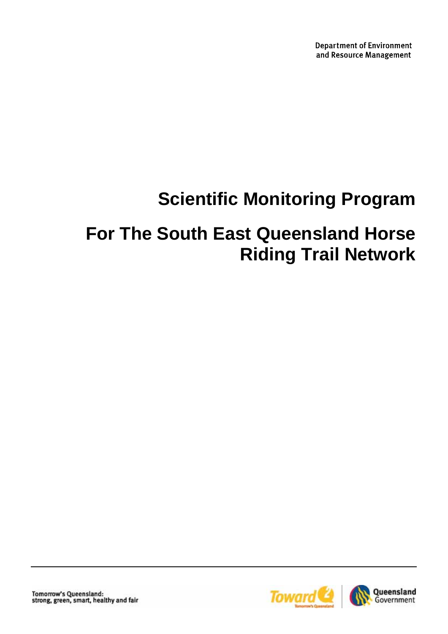**Department of Environment** and Resource Management

# **Scientific Monitoring Program**

# **For The South East Queensland Horse Riding Trail Network**

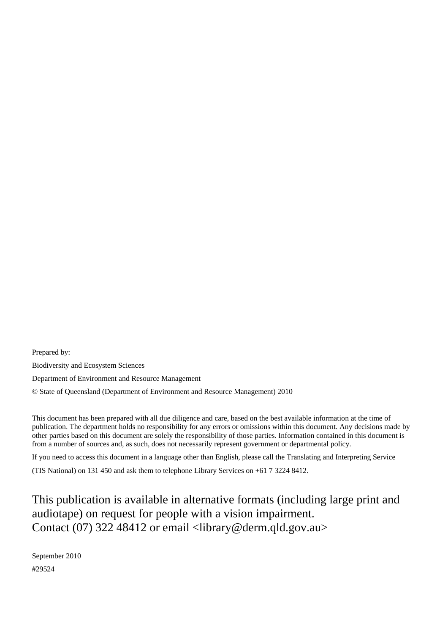Prepared by: Biodiversity and Ecosystem Sciences Department of Environment and Resource Management © State of Queensland (Department of Environment and Resource Management) 2010

This document has been prepared with all due diligence and care, based on the best available information at the time of publication. The department holds no responsibility for any errors or omissions within this document. Any decisions made by other parties based on this document are solely the responsibility of those parties. Information contained in this document is from a number of sources and, as such, does not necessarily represent government or departmental policy.

If you need to access this document in a language other than English, please call the Translating and Interpreting Service

(TIS National) on 131 450 and ask them to telephone Library Services on +61 7 3224 8412.

This publication is available in alternative formats (including large print and audiotape) on request for people with a vision impairment. Contact (07) 322 48412 or email <library@derm.qld.gov.au>

September 2010 #29524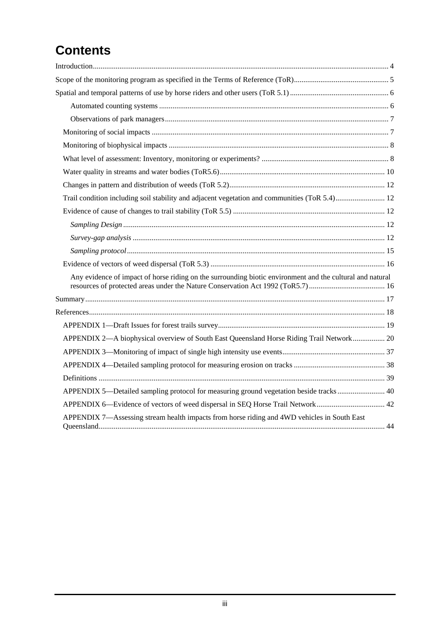## **Contents**

| Trail condition including soil stability and adjacent vegetation and communities (ToR 5.4) 12             |  |
|-----------------------------------------------------------------------------------------------------------|--|
|                                                                                                           |  |
|                                                                                                           |  |
|                                                                                                           |  |
|                                                                                                           |  |
|                                                                                                           |  |
| Any evidence of impact of horse riding on the surrounding biotic environment and the cultural and natural |  |
|                                                                                                           |  |
|                                                                                                           |  |
|                                                                                                           |  |
| APPENDIX 2-A biophysical overview of South East Queensland Horse Riding Trail Network 20                  |  |
|                                                                                                           |  |
|                                                                                                           |  |
|                                                                                                           |  |
| APPENDIX 5—Detailed sampling protocol for measuring ground vegetation beside tracks  40                   |  |
| APPENDIX 6—Evidence of vectors of weed dispersal in SEQ Horse Trail Network 42                            |  |
| APPENDIX 7—Assessing stream health impacts from horse riding and 4WD vehicles in South East               |  |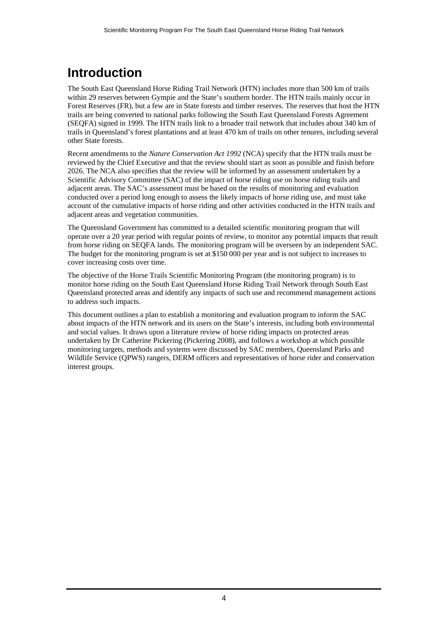## <span id="page-3-0"></span>**Introduction**

The South East Queensland Horse Riding Trail Network (HTN) includes more than 500 km of trails within 29 reserves between Gympie and the State's southern border. The HTN trails mainly occur in Forest Reserves (FR), but a few are in State forests and timber reserves. The reserves that host the HTN trails are being converted to national parks following the South East Queensland Forests Agreement (SEQFA) signed in 1999. The HTN trails link to a broader trail network that includes about 340 km of trails in Queensland's forest plantations and at least 470 km of trails on other tenures, including several other State forests.

Recent amendments to the *Nature Conservation Act 1992* (NCA) specify that the HTN trails must be reviewed by the Chief Executive and that the review should start as soon as possible and finish before 2026. The NCA also specifies that the review will be informed by an assessment undertaken by a Scientific Advisory Committee (SAC) of the impact of horse riding use on horse riding trails and adjacent areas. The SAC's assessment must be based on the results of monitoring and evaluation conducted over a period long enough to assess the likely impacts of horse riding use, and must take account of the cumulative impacts of horse riding and other activities conducted in the HTN trails and adjacent areas and vegetation communities.

The Queensland Government has committed to a detailed scientific monitoring program that will operate over a 20 year period with regular points of review, to monitor any potential impacts that result from horse riding on SEQFA lands. The monitoring program will be overseen by an independent SAC. The budget for the monitoring program is set at \$150 000 per year and is not subject to increases to cover increasing costs over time.

The objective of the Horse Trails Scientific Monitoring Program (the monitoring program) is to monitor horse riding on the South East Queensland Horse Riding Trail Network through South East Queensland protected areas and identify any impacts of such use and recommend management actions to address such impacts.

This document outlines a plan to establish a monitoring and evaluation program to inform the SAC about impacts of the HTN network and its users on the State's interests, including both environmental and social values. It draws upon a literature review of horse riding impacts on protected areas undertaken by Dr Catherine Pickering (Pickering 2008), and follows a workshop at which possible monitoring targets, methods and systems were discussed by SAC members, Queensland Parks and Wildlife Service (QPWS) rangers, DERM officers and representatives of horse rider and conservation interest groups.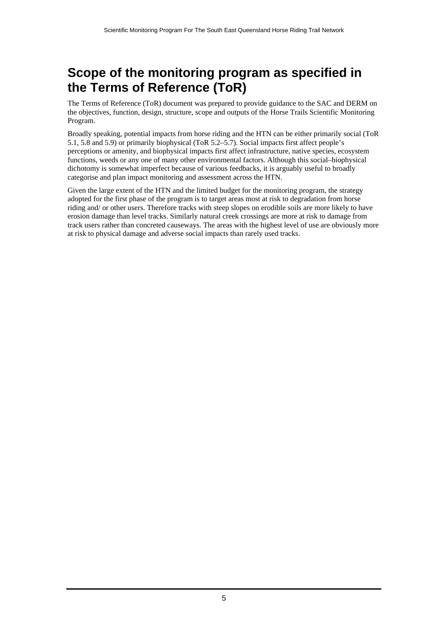## <span id="page-4-0"></span>**Scope of the monitoring program as specified in the Terms of Reference (ToR)**

The Terms of Reference (ToR) document was prepared to provide guidance to the SAC and DERM on the objectives, function, design, structure, scope and outputs of the Horse Trails Scientific Monitoring Program.

Broadly speaking, potential impacts from horse riding and the HTN can be either primarily social (ToR 5.1, 5.8 and 5.9) or primarily biophysical (ToR 5.2–5.7). Social impacts first affect people's perceptions or amenity, and biophysical impacts first affect infrastructure, native species, ecosystem functions, weeds or any one of many other environmental factors. Although this social–biophysical dichotomy is somewhat imperfect because of various feedbacks, it is arguably useful to broadly categorise and plan impact monitoring and assessment across the HTN.

Given the large extent of the HTN and the limited budget for the monitoring program, the strategy adopted for the first phase of the program is to target areas most at risk to degradation from horse riding and/ or other users. Therefore tracks with steep slopes on erodible soils are more likely to have erosion damage than level tracks. Similarly natural creek crossings are more at risk to damage from track users rather than concreted causeways. The areas with the highest level of use are obviously more at risk to physical damage and adverse social impacts than rarely used tracks.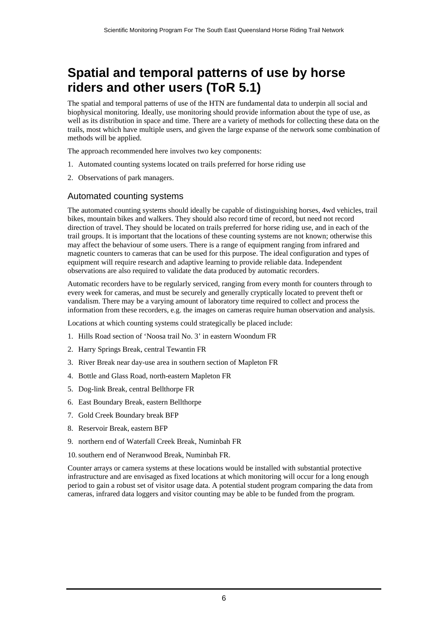## <span id="page-5-0"></span>**Spatial and temporal patterns of use by horse riders and other users (ToR 5.1)**

The spatial and temporal patterns of use of the HTN are fundamental data to underpin all social and biophysical monitoring. Ideally, use monitoring should provide information about the type of use, as well as its distribution in space and time. There are a variety of methods for collecting these data on the trails, most which have multiple users, and given the large expanse of the network some combination of methods will be applied.

The approach recommended here involves two key components:

- 1. Automated counting systems located on trails preferred for horse riding use
- 2. Observations of park managers.

### <span id="page-5-1"></span>Automated counting systems

The automated counting systems should ideally be capable of distinguishing horses, 4wd vehicles, trail bikes, mountain bikes and walkers. They should also record time of record, but need not record direction of travel. They should be located on trails preferred for horse riding use, and in each of the trail groups. It is important that the locations of these counting systems are not known; otherwise this may affect the behaviour of some users. There is a range of equipment ranging from infrared and magnetic counters to cameras that can be used for this purpose. The ideal configuration and types of equipment will require research and adaptive learning to provide reliable data. Independent observations are also required to validate the data produced by automatic recorders.

Automatic recorders have to be regularly serviced, ranging from every month for counters through to every week for cameras, and must be securely and generally cryptically located to prevent theft or vandalism. There may be a varying amount of laboratory time required to collect and process the information from these recorders, e.g. the images on cameras require human observation and analysis.

Locations at which counting systems could strategically be placed include:

- 1. Hills Road section of 'Noosa trail No. 3' in eastern Woondum FR
- 2. Harry Springs Break, central Tewantin FR
- 3. River Break near day-use area in southern section of Mapleton FR
- 4. Bottle and Glass Road, north-eastern Mapleton FR
- 5. Dog-link Break, central Bellthorpe FR
- 6. East Boundary Break, eastern Bellthorpe
- 7. Gold Creek Boundary break BFP
- 8. Reservoir Break, eastern BFP
- 9. northern end of Waterfall Creek Break, Numinbah FR
- 10.southern end of Neranwood Break, Numinbah FR.

Counter arrays or camera systems at these locations would be installed with substantial protective infrastructure and are envisaged as fixed locations at which monitoring will occur for a long enough period to gain a robust set of visitor usage data. A potential student program comparing the data from cameras, infrared data loggers and visitor counting may be able to be funded from the program.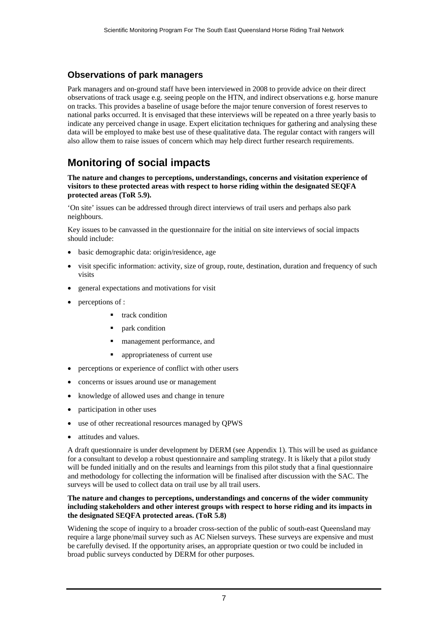### <span id="page-6-0"></span>**Observations of park managers**

Park managers and on-ground staff have been interviewed in 2008 to provide advice on their direct observations of track usage e.g. seeing people on the HTN, and indirect observations e.g. horse manure on tracks. This provides a baseline of usage before the major tenure conversion of forest reserves to national parks occurred. It is envisaged that these interviews will be repeated on a three yearly basis to indicate any perceived change in usage. Expert elicitation techniques for gathering and analysing these data will be employed to make best use of these qualitative data. The regular contact with rangers will also allow them to raise issues of concern which may help direct further research requirements.

### <span id="page-6-1"></span>**Monitoring of social impacts**

**The nature and changes to perceptions, understandings, concerns and visitation experience of visitors to these protected areas with respect to horse riding within the designated SEQFA protected areas (ToR 5.9).** 

'On site' issues can be addressed through direct interviews of trail users and perhaps also park neighbours.

Key issues to be canvassed in the questionnaire for the initial on site interviews of social impacts should include:

- basic demographic data: origin/residence, age
- visit specific information: activity, size of group, route, destination, duration and frequency of such visits
- general expectations and motivations for visit
- perceptions of :
	- **u** track condition
	- **park** condition
	- management performance, and
	- appropriateness of current use
- perceptions or experience of conflict with other users
- concerns or issues around use or management
- knowledge of allowed uses and change in tenure
- participation in other uses
- use of other recreational resources managed by QPWS
- attitudes and values.

A draft questionnaire is under development by DERM (see Appendix 1). This will be used as guidance for a consultant to develop a robust questionnaire and sampling strategy. It is likely that a pilot study will be funded initially and on the results and learnings from this pilot study that a final questionnaire and methodology for collecting the information will be finalised after discussion with the SAC. The surveys will be used to collect data on trail use by all trail users.

#### **The nature and changes to perceptions, understandings and concerns of the wider community including stakeholders and other interest groups with respect to horse riding and its impacts in the designated SEQFA protected areas. (ToR 5.8)**

Widening the scope of inquiry to a broader cross-section of the public of south-east Queensland may require a large phone/mail survey such as AC Nielsen surveys. These surveys are expensive and must be carefully devised. If the opportunity arises, an appropriate question or two could be included in broad public surveys conducted by DERM for other purposes.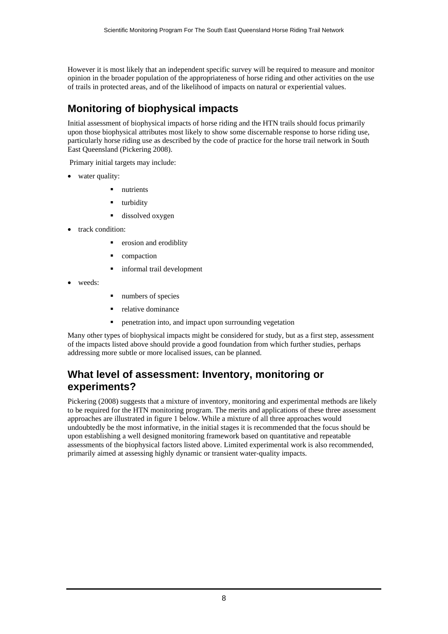However it is most likely that an independent specific survey will be required to measure and monitor opinion in the broader population of the appropriateness of horse riding and other activities on the use of trails in protected areas, and of the likelihood of impacts on natural or experiential values.

### <span id="page-7-0"></span>**Monitoring of biophysical impacts**

Initial assessment of biophysical impacts of horse riding and the HTN trails should focus primarily upon those biophysical attributes most likely to show some discernable response to horse riding use, particularly horse riding use as described by the code of practice for the horse trail network in South East Queensland (Pickering 2008).

Primary initial targets may include:

- water quality:
	- nutrients
	- turbidity
	- dissolved oxygen
- track condition:
	- erosion and erodiblity
	- compaction
	- informal trail development
- weeds:
- numbers of species
- relative dominance
- penetration into, and impact upon surrounding vegetation

Many other types of biophysical impacts might be considered for study, but as a first step, assessment of the impacts listed above should provide a good foundation from which further studies, perhaps addressing more subtle or more localised issues, can be planned.

### <span id="page-7-1"></span>**What level of assessment: Inventory, monitoring or experiments?**

Pickering (2008) suggests that a mixture of inventory, monitoring and experimental methods are likely to be required for the HTN monitoring program. The merits and applications of these three assessment approaches are illustrated in figure 1 below. While a mixture of all three approaches would undoubtedly be the most informative, in the initial stages it is recommended that the focus should be upon establishing a well designed monitoring framework based on quantitative and repeatable assessments of the biophysical factors listed above. Limited experimental work is also recommended, primarily aimed at assessing highly dynamic or transient water-quality impacts.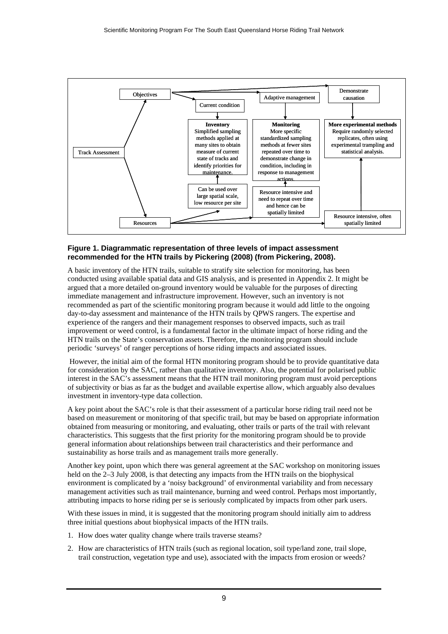

#### **Figure 1. Diagrammatic representation of three levels of impact assessment recommended for the HTN trails by Pickering (2008) (from Pickering, 2008).**

A basic inventory of the HTN trails, suitable to stratify site selection for monitoring, has been conducted using available spatial data and GIS analysis, and is presented in Appendix 2. It might be argued that a more detailed on-ground inventory would be valuable for the purposes of directing immediate management and infrastructure improvement. However, such an inventory is not recommended as part of the scientific monitoring program because it would add little to the ongoing day-to-day assessment and maintenance of the HTN trails by QPWS rangers. The expertise and experience of the rangers and their management responses to observed impacts, such as trail improvement or weed control, is a fundamental factor in the ultimate impact of horse riding and the HTN trails on the State's conservation assets. Therefore, the monitoring program should include periodic 'surveys' of ranger perceptions of horse riding impacts and associated issues.

 However, the initial aim of the formal HTN monitoring program should be to provide quantitative data for consideration by the SAC, rather than qualitative inventory. Also, the potential for polarised public interest in the SAC's assessment means that the HTN trail monitoring program must avoid perceptions of subjectivity or bias as far as the budget and available expertise allow, which arguably also devalues investment in inventory-type data collection.

A key point about the SAC's role is that their assessment of a particular horse riding trail need not be based on measurement or monitoring of that specific trail, but may be based on appropriate information obtained from measuring or monitoring, and evaluating, other trails or parts of the trail with relevant characteristics. This suggests that the first priority for the monitoring program should be to provide general information about relationships between trail characteristics and their performance and sustainability as horse trails and as management trails more generally.

Another key point, upon which there was general agreement at the SAC workshop on monitoring issues held on the 2–3 July 2008, is that detecting any impacts from the HTN trails on the biophysical environment is complicated by a 'noisy background' of environmental variability and from necessary management activities such as trail maintenance, burning and weed control. Perhaps most importantly, attributing impacts to horse riding per se is seriously complicated by impacts from other park users.

With these issues in mind, it is suggested that the monitoring program should initially aim to address three initial questions about biophysical impacts of the HTN trails.

- 1. How does water quality change where trails traverse steams?
- 2. How are characteristics of HTN trails (such as regional location, soil type/land zone, trail slope, trail construction, vegetation type and use), associated with the impacts from erosion or weeds?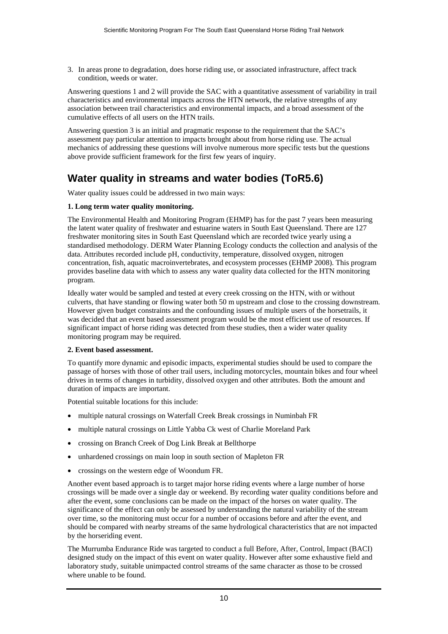3. In areas prone to degradation, does horse riding use, or associated infrastructure, affect track condition, weeds or water.

Answering questions 1 and 2 will provide the SAC with a quantitative assessment of variability in trail characteristics and environmental impacts across the HTN network, the relative strengths of any association between trail characteristics and environmental impacts, and a broad assessment of the cumulative effects of all users on the HTN trails.

Answering question 3 is an initial and pragmatic response to the requirement that the SAC's assessment pay particular attention to impacts brought about from horse riding use. The actual mechanics of addressing these questions will involve numerous more specific tests but the questions above provide sufficient framework for the first few years of inquiry.

### <span id="page-9-0"></span>**Water quality in streams and water bodies (ToR5.6)**

Water quality issues could be addressed in two main ways:

#### **1. Long term water quality monitoring.**

The Environmental Health and Monitoring Program (EHMP) has for the past 7 years been measuring the latent water quality of freshwater and estuarine waters in South East Queensland. There are 127 freshwater monitoring sites in South East Queensland which are recorded twice yearly using a standardised methodology. DERM Water Planning Ecology conducts the collection and analysis of the data. Attributes recorded include pH, conductivity, temperature, dissolved oxygen, nitrogen concentration, fish, aquatic macroinvertebrates, and ecosystem processes (EHMP 2008). This program provides baseline data with which to assess any water quality data collected for the HTN monitoring program.

Ideally water would be sampled and tested at every creek crossing on the HTN, with or without culverts, that have standing or flowing water both 50 m upstream and close to the crossing downstream. However given budget constraints and the confounding issues of multiple users of the horsetrails, it was decided that an event based assessment program would be the most efficient use of resources. If significant impact of horse riding was detected from these studies, then a wider water quality monitoring program may be required.

#### **2. Event based assessment.**

To quantify more dynamic and episodic impacts, experimental studies should be used to compare the passage of horses with those of other trail users, including motorcycles, mountain bikes and four wheel drives in terms of changes in turbidity, dissolved oxygen and other attributes. Both the amount and duration of impacts are important.

Potential suitable locations for this include:

- multiple natural crossings on Waterfall Creek Break crossings in Numinbah FR
- multiple natural crossings on Little Yabba Ck west of Charlie Moreland Park
- crossing on Branch Creek of Dog Link Break at Bellthorpe
- unhardened crossings on main loop in south section of Mapleton FR
- crossings on the western edge of Woondum FR.

Another event based approach is to target major horse riding events where a large number of horse crossings will be made over a single day or weekend. By recording water quality conditions before and after the event, some conclusions can be made on the impact of the horses on water quality. The significance of the effect can only be assessed by understanding the natural variability of the stream over time, so the monitoring must occur for a number of occasions before and after the event, and should be compared with nearby streams of the same hydrological characteristics that are not impacted by the horseriding event.

The Murrumba Endurance Ride was targeted to conduct a full Before, After, Control, Impact (BACI) designed study on the impact of this event on water quality. However after some exhaustive field and laboratory study, suitable unimpacted control streams of the same character as those to be crossed where unable to be found.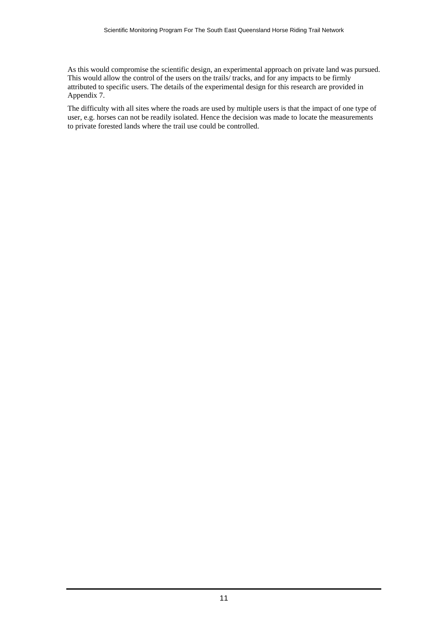As this would compromise the scientific design, an experimental approach on private land was pursued. This would allow the control of the users on the trails/ tracks, and for any impacts to be firmly attributed to specific users. The details of the experimental design for this research are provided in Appendix 7.

The difficulty with all sites where the roads are used by multiple users is that the impact of one type of user, e.g. horses can not be readily isolated. Hence the decision was made to locate the measurements to private forested lands where the trail use could be controlled.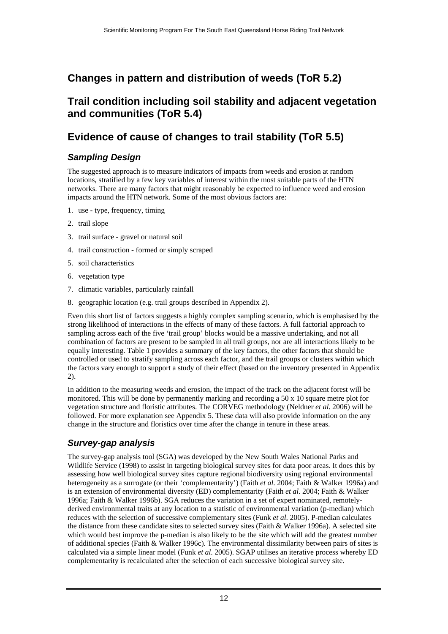### <span id="page-11-0"></span>**Changes in pattern and distribution of weeds (ToR 5.2)**

### <span id="page-11-1"></span>**Trail condition including soil stability and adjacent vegetation and communities (ToR 5.4)**

### <span id="page-11-2"></span>**Evidence of cause of changes to trail stability (ToR 5.5)**

### *Sampling Design*

<span id="page-11-3"></span>The suggested approach is to measure indicators of impacts from weeds and erosion at random locations, stratified by a few key variables of interest within the most suitable parts of the HTN networks. There are many factors that might reasonably be expected to influence weed and erosion impacts around the HTN network. Some of the most obvious factors are:

- 1. use type, frequency, timing
- 2. trail slope
- 3. trail surface gravel or natural soil
- 4. trail construction formed or simply scraped
- 5. soil characteristics
- 6. vegetation type
- 7. climatic variables, particularly rainfall
- 8. geographic location (e.g. trail groups described in Appendix 2).

Even this short list of factors suggests a highly complex sampling scenario, which is emphasised by the strong likelihood of interactions in the effects of many of these factors. A full factorial approach to sampling across each of the five 'trail group' blocks would be a massive undertaking, and not all combination of factors are present to be sampled in all trail groups, nor are all interactions likely to be equally interesting. Table 1 provides a summary of the key factors, the other factors that should be controlled or used to stratify sampling across each factor, and the trail groups or clusters within which the factors vary enough to support a study of their effect (based on the inventory presented in Appendix 2).

In addition to the measuring weeds and erosion, the impact of the track on the adjacent forest will be monitored. This will be done by permanently marking and recording a 50 x 10 square metre plot for vegetation structure and floristic attributes. The CORVEG methodology (Neldner *et al*. 2006) will be followed. For more explanation see Appendix 5. These data will also provide information on the any change in the structure and floristics over time after the change in tenure in these areas.

### *Survey-gap analysis*

<span id="page-11-4"></span>The survey-gap analysis tool (SGA) was developed by the New South Wales National Parks and Wildlife Service (1998) to assist in targeting biological survey sites for data poor areas. It does this by assessing how well biological survey sites capture regional biodiversity using regional environmental heterogeneity as a surrogate (or their 'complementarity') (Faith *et al*. 2004; Faith & Walker 1996a) and is an extension of environmental diversity (ED) complementarity (Faith *et al*. 2004; Faith & Walker 1996a; Faith & Walker 1996b). SGA reduces the variation in a set of expert nominated, remotelyderived environmental traits at any location to a statistic of environmental variation (p-median) which reduces with the selection of successive complementary sites (Funk *et al*. 2005). P-median calculates the distance from these candidate sites to selected survey sites (Faith & Walker 1996a). A selected site which would best improve the p-median is also likely to be the site which will add the greatest number of additional species (Faith & Walker 1996c). The environmental dissimilarity between pairs of sites is calculated via a simple linear model (Funk *et al*. 2005). SGAP utilises an iterative process whereby ED complementarity is recalculated after the selection of each successive biological survey site.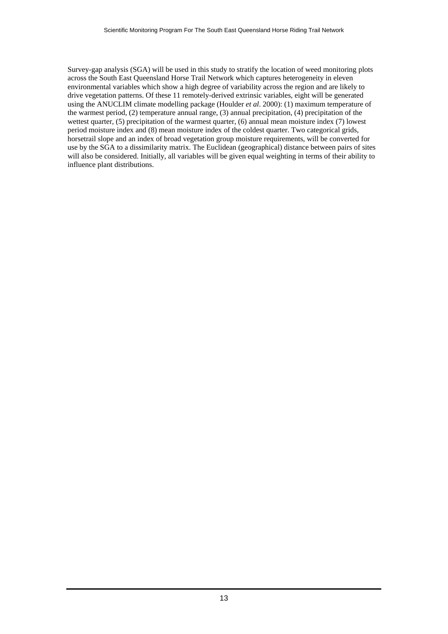Survey-gap analysis (SGA) will be used in this study to stratify the location of weed monitoring plots across the South East Queensland Horse Trail Network which captures heterogeneity in eleven environmental variables which show a high degree of variability across the region and are likely to drive vegetation patterns. Of these 11 remotely-derived extrinsic variables, eight will be generated using the ANUCLIM climate modelling package (Houlder *et al*. 2000): (1) maximum temperature of the warmest period, (2) temperature annual range, (3) annual precipitation, (4) precipitation of the wettest quarter, (5) precipitation of the warmest quarter, (6) annual mean moisture index (7) lowest period moisture index and (8) mean moisture index of the coldest quarter. Two categorical grids, horsetrail slope and an index of broad vegetation group moisture requirements, will be converted for use by the SGA to a dissimilarity matrix. The Euclidean (geographical) distance between pairs of sites will also be considered. Initially, all variables will be given equal weighting in terms of their ability to influence plant distributions.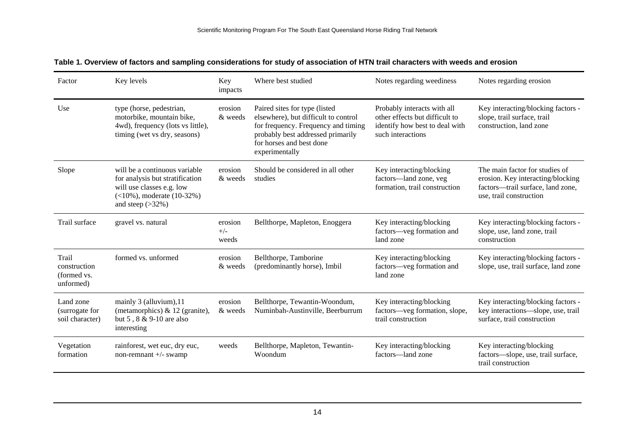| Factor                                            | Key levels                                                                                                                                               | Key<br>impacts            | Where best studied                                                                                                                                                                              | Notes regarding weediness                                                                                            | Notes regarding erosion                                                                                                             |
|---------------------------------------------------|----------------------------------------------------------------------------------------------------------------------------------------------------------|---------------------------|-------------------------------------------------------------------------------------------------------------------------------------------------------------------------------------------------|----------------------------------------------------------------------------------------------------------------------|-------------------------------------------------------------------------------------------------------------------------------------|
| Use                                               | type (horse, pedestrian,<br>motorbike, mountain bike,<br>4wd), frequency (lots vs little),<br>timing (wet vs dry, seasons)                               | erosion<br>& weeds        | Paired sites for type (listed<br>elsewhere), but difficult to control<br>for frequency. Frequency and timing<br>probably best addressed primarily<br>for horses and best done<br>experimentally | Probably interacts with all<br>other effects but difficult to<br>identify how best to deal with<br>such interactions | Key interacting/blocking factors -<br>slope, trail surface, trail<br>construction, land zone                                        |
| Slope                                             | will be a continuous variable<br>for analysis but stratification<br>will use classes e.g. low<br>$(<10\%)$ , moderate $(10-32\%)$<br>and steep $(>32\%)$ | erosion<br>& weeds        | Should be considered in all other<br>studies                                                                                                                                                    | Key interacting/blocking<br>factors-land zone, veg<br>formation, trail construction                                  | The main factor for studies of<br>erosion. Key interacting/blocking<br>factors-trail surface, land zone,<br>use, trail construction |
| Trail surface                                     | gravel vs. natural                                                                                                                                       | erosion<br>$+/-$<br>weeds | Bellthorpe, Mapleton, Enoggera                                                                                                                                                                  | Key interacting/blocking<br>factors-veg formation and<br>land zone                                                   | Key interacting/blocking factors -<br>slope, use, land zone, trail<br>construction                                                  |
| Trail<br>construction<br>(formed vs.<br>unformed) | formed vs. unformed                                                                                                                                      | erosion<br>& weeds        | Bellthorpe, Tamborine<br>(predominantly horse), Imbil                                                                                                                                           | Key interacting/blocking<br>factors-veg formation and<br>land zone                                                   | Key interacting/blocking factors -<br>slope, use, trail surface, land zone                                                          |
| Land zone<br>(surrogate for<br>soil character)    | mainly 3 (alluvium), 11<br>(metamorphics) $& 12$ (granite),<br>but 5, 8 & 9-10 are also<br>interesting                                                   | erosion<br>& weeds        | Bellthorpe, Tewantin-Woondum,<br>Numinbah-Austinville, Beerburrum                                                                                                                               | Key interacting/blocking<br>factors-veg formation, slope,<br>trail construction                                      | Key interacting/blocking factors -<br>key interactions-slope, use, trail<br>surface, trail construction                             |
| Vegetation<br>formation                           | rainforest, wet euc, dry euc,<br>non-remnant +/- swamp                                                                                                   | weeds                     | Bellthorpe, Mapleton, Tewantin-<br>Woondum                                                                                                                                                      | Key interacting/blocking<br>factors—land zone                                                                        | Key interacting/blocking<br>factors-slope, use, trail surface,<br>trail construction                                                |

**Table 1. Overview of factors and sampling considerations for study of association of HTN trail characters with weeds and erosion**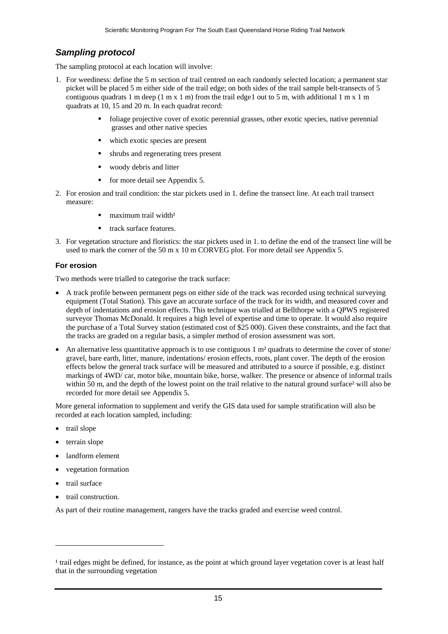### <span id="page-14-1"></span><span id="page-14-0"></span>*Sampling protocol*

The sampling protocol at each location will involve:

- 1. For weediness: define the 5 m section of trail centred on each randomly selected location; a permanent star picket will be placed 5 m either side of the trail edge; on both sides of the trail sample belt-transects of 5 contiguous quadrats [1](#page-14-1) m deep (1 m  $x$  1 m) from the trail edge 1 out to 5 m, with additional 1 m  $x$  1 m quadrats at 10, 15 and 20 m. In each quadrat record:
	- foliage projective cover of exotic perennial grasses, other exotic species, native perennial grasses and other native species
	- which exotic species are present
	- shrubs and regenerating trees present
	- woody debris and litter
	- $\blacksquare$  for more detail see Appendix 5.
- 2. For erosion and trail condition: the star pickets used in 1. define the transect line. At each trail transect measure:
	- maximum trail width<sup>1</sup>
	- track surface features.
- 3. For vegetation structure and floristics: the star pickets used in 1. to define the end of the transect line will be used to mark the corner of the 50 m x 10 m CORVEG plot. For more detail see Appendix 5.

#### **For erosion**

Two methods were trialled to categorise the track surface:

- A track profile between permanent pegs on either side of the track was recorded using technical surveying equipment (Total Station). This gave an accurate surface of the track for its width, and measured cover and depth of indentations and erosion effects. This technique was trialled at Bellthorpe with a QPWS registered surveyor Thomas McDonald. It requires a high level of expertise and time to operate. It would also require the purchase of a Total Survey station (estimated cost of \$25 000). Given these constraints, and the fact that the tracks are graded on a regular basis, a simpler method of erosion assessment was sort.
- An alternative less quantitative approach is to use contiguous 1 m<sup>2</sup> quadrats to determine the cover of stone/ gravel, bare earth, litter, manure, indentations/ erosion effects, roots, plant cover. The depth of the erosion effects below the general track surface will be measured and attributed to a source if possible, e.g. distinct markings of 4WD/ car, motor bike, mountain bike, horse, walker. The presence or absence of informal trails within 50 m, and the depth of the lowest point on the trail relative to the natural ground surface<sup>2</sup> will also be recorded for more detail see Appendix 5.

More general information to supplement and verify the GIS data used for sample stratification will also be recorded at each location sampled, including:

- trail slope
- terrain slope
- landform element
- vegetation formation
- trail surface

l

• trail construction.

As part of their routine management, rangers have the tracks graded and exercise weed control.

 $\frac{1}{2}$  trail edges might be defined, for instance, as the point at which ground layer vegetation cover is at least half that in the surrounding vegetation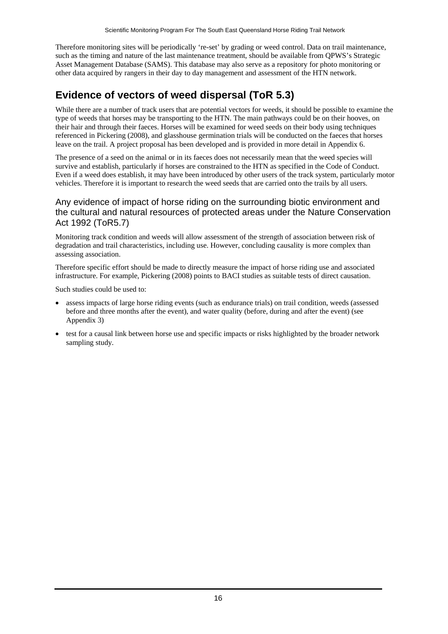Therefore monitoring sites will be periodically 're-set' by grading or weed control. Data on trail maintenance, such as the timing and nature of the last maintenance treatment, should be available from OPWS's Strategic Asset Management Database (SAMS). This database may also serve as a repository for photo monitoring or other data acquired by rangers in their day to day management and assessment of the HTN network.

### <span id="page-15-0"></span>**Evidence of vectors of weed dispersal (ToR 5.3)**

While there are a number of track users that are potential vectors for weeds, it should be possible to examine the type of weeds that horses may be transporting to the HTN. The main pathways could be on their hooves, on their hair and through their faeces. Horses will be examined for weed seeds on their body using techniques referenced in Pickering (2008), and glasshouse germination trials will be conducted on the faeces that horses leave on the trail. A project proposal has been developed and is provided in more detail in Appendix 6.

The presence of a seed on the animal or in its faeces does not necessarily mean that the weed species will survive and establish, particularly if horses are constrained to the HTN as specified in the Code of Conduct. Even if a weed does establish, it may have been introduced by other users of the track system, particularly motor vehicles. Therefore it is important to research the weed seeds that are carried onto the trails by all users.

### <span id="page-15-1"></span>Any evidence of impact of horse riding on the surrounding biotic environment and the cultural and natural resources of protected areas under the Nature Conservation Act 1992 (ToR5.7)

Monitoring track condition and weeds will allow assessment of the strength of association between risk of degradation and trail characteristics, including use. However, concluding causality is more complex than assessing association.

Therefore specific effort should be made to directly measure the impact of horse riding use and associated infrastructure. For example, Pickering (2008) points to BACI studies as suitable tests of direct causation.

Such studies could be used to:

- assess impacts of large horse riding events (such as endurance trials) on trail condition, weeds (assessed before and three months after the event), and water quality (before, during and after the event) (see Appendix 3)
- test for a causal link between horse use and specific impacts or risks highlighted by the broader network sampling study.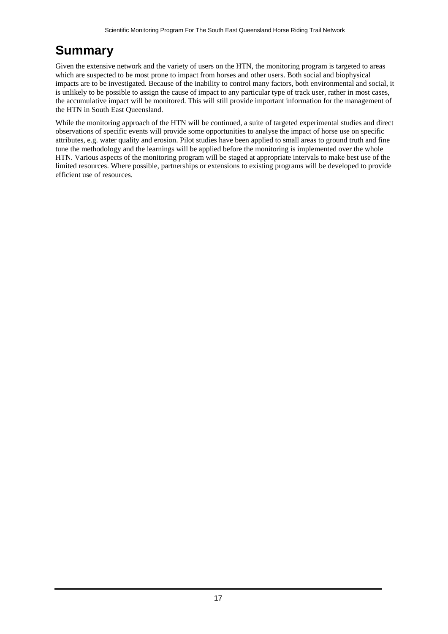## <span id="page-16-0"></span>**Summary**

Given the extensive network and the variety of users on the HTN, the monitoring program is targeted to areas which are suspected to be most prone to impact from horses and other users. Both social and biophysical impacts are to be investigated. Because of the inability to control many factors, both environmental and social, it is unlikely to be possible to assign the cause of impact to any particular type of track user, rather in most cases, the accumulative impact will be monitored. This will still provide important information for the management of the HTN in South East Queensland.

While the monitoring approach of the HTN will be continued, a suite of targeted experimental studies and direct observations of specific events will provide some opportunities to analyse the impact of horse use on specific attributes, e.g. water quality and erosion. Pilot studies have been applied to small areas to ground truth and fine tune the methodology and the learnings will be applied before the monitoring is implemented over the whole HTN. Various aspects of the monitoring program will be staged at appropriate intervals to make best use of the limited resources. Where possible, partnerships or extensions to existing programs will be developed to provide efficient use of resources.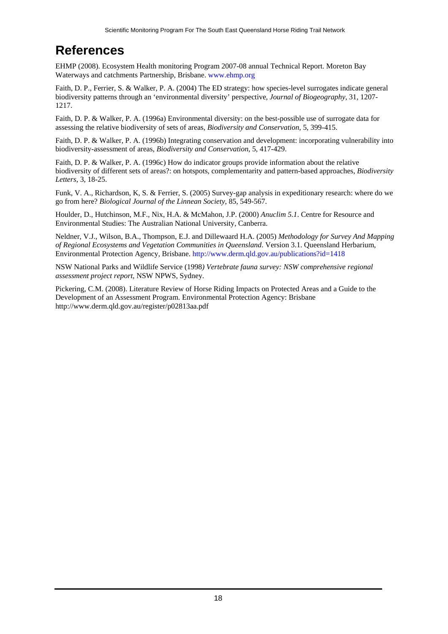## <span id="page-17-0"></span>**References**

EHMP (2008). Ecosystem Health monitoring Program 2007-08 annual Technical Report. Moreton Bay Waterways and catchments Partnership, Brisbane. www.ehmp.org

Faith, D. P., Ferrier, S. & Walker, P. A. (2004) The ED strategy: how species-level surrogates indicate general biodiversity patterns through an 'environmental diversity' perspective*, Journal of Biogeography*, 31, 1207- 1217.

Faith, D. P. & Walker, P. A. (1996a) Environmental diversity: on the best-possible use of surrogate data for assessing the relative biodiversity of sets of areas, *Biodiversity and Conservation*, 5, 399-415.

Faith, D. P. & Walker, P. A. (1996b) Integrating conservation and development: incorporating vulnerability into biodiversity-assessment of areas, *Biodiversity and Conservation*, 5, 417-429.

Faith, D. P. & Walker, P. A. (1996c) How do indicator groups provide information about the relative biodiversity of different sets of areas?: on hotspots, complementarity and pattern-based approaches, *Biodiversity Letters*, 3, 18-25.

Funk, V. A., Richardson, K, S. & Ferrier, S. (2005) Survey-gap analysis in expeditionary research: where do we go from here? *Biological Journal of the Linnean Society*, 85, 549-567.

Houlder, D., Hutchinson, M.F., Nix, H.A. & McMahon, J.P. (2000) *Anuclim 5.1*. Centre for Resource and Environmental Studies: The Australian National University, Canberra.

Neldner, V.J., Wilson, B.A., Thompson, E.J. and Dillewaard H.A. (2005) *Methodology for Survey And Mapping of Regional Ecosystems and Vegetation Communities in Queensland*. Version 3.1. Queensland Herbarium, Environmental Protection Agency, Brisbane. http://www.derm.qld.gov.au/publications?id=1418

NSW National Parks and Wildlife Service (1998*) Vertebrate fauna survey: NSW comprehensive regional assessment project report*, NSW NPWS, Sydney.

Pickering, C.M. (2008). Literature Review of Horse Riding Impacts on Protected Areas and a Guide to the Development of an Assessment Program. Environmental Protection Agency: Brisbane http://www.derm.qld.gov.au/register/p02813aa.pdf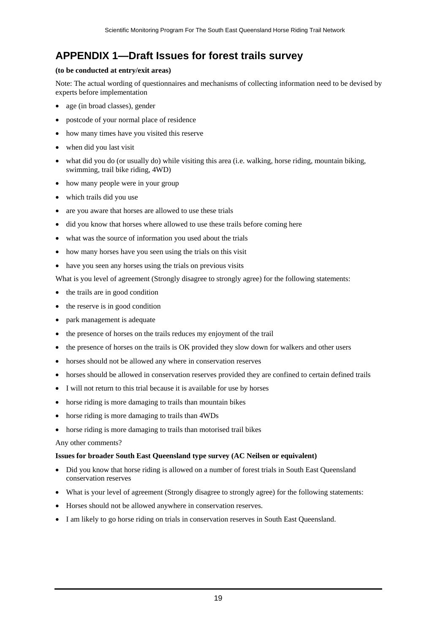### <span id="page-18-0"></span>**APPENDIX 1—Draft Issues for forest trails survey**

#### **(to be conducted at entry/exit areas)**

Note: The actual wording of questionnaires and mechanisms of collecting information need to be devised by experts before implementation

- age (in broad classes), gender
- postcode of your normal place of residence
- how many times have you visited this reserve
- when did you last visit
- what did you do (or usually do) while visiting this area (i.e. walking, horse riding, mountain biking, swimming, trail bike riding, 4WD)
- how many people were in your group
- which trails did you use
- are you aware that horses are allowed to use these trials
- did you know that horses where allowed to use these trails before coming here
- what was the source of information you used about the trials
- how many horses have you seen using the trials on this visit
- have you seen any horses using the trials on previous visits

What is you level of agreement (Strongly disagree to strongly agree) for the following statements:

- the trails are in good condition
- the reserve is in good condition
- park management is adequate
- the presence of horses on the trails reduces my enjoyment of the trail
- the presence of horses on the trails is OK provided they slow down for walkers and other users
- horses should not be allowed any where in conservation reserves
- horses should be allowed in conservation reserves provided they are confined to certain defined trails
- I will not return to this trial because it is available for use by horses
- horse riding is more damaging to trails than mountain bikes
- horse riding is more damaging to trails than 4WDs
- horse riding is more damaging to trails than motorised trail bikes

#### Any other comments?

### **Issues for broader South East Queensland type survey (AC Neilsen or equivalent)**

- Did you know that horse riding is allowed on a number of forest trials in South East Queensland conservation reserves
- What is your level of agreement (Strongly disagree to strongly agree) for the following statements:
- Horses should not be allowed anywhere in conservation reserves.
- I am likely to go horse riding on trials in conservation reserves in South East Queensland.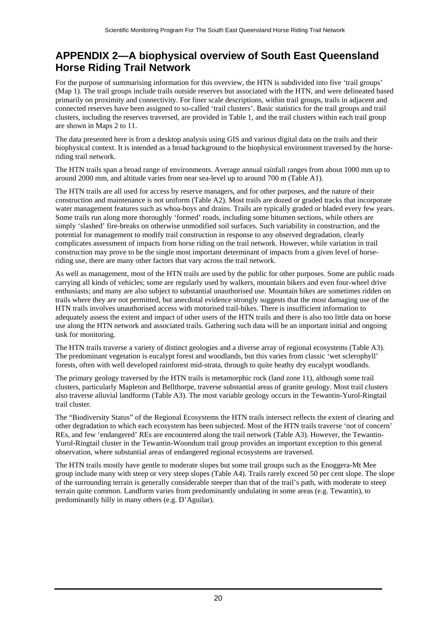### <span id="page-19-0"></span>**APPENDIX 2—A biophysical overview of South East Queensland Horse Riding Trail Network**

For the purpose of summarising information for this overview, the HTN is subdivided into five 'trail groups' (Map 1). The trail groups include trails outside reserves but associated with the HTN, and were delineated based primarily on proximity and connectivity. For finer scale descriptions, within trail groups, trails in adjacent and connected reserves have been assigned to so-called 'trail clusters'. Basic statistics for the trail groups and trail clusters, including the reserves traversed, are provided in Table 1, and the trail clusters within each trail group are shown in Maps 2 to 11.

The data presented here is from a desktop analysis using GIS and various digital data on the trails and their biophysical context. It is intended as a broad background to the biophysical environment traversed by the horseriding trail network.

The HTN trails span a broad range of environments. Average annual rainfall ranges from about 1000 mm up to around 2000 mm, and altitude varies from near sea-level up to around 700 m (Table A1).

The HTN trails are all used for access by reserve managers, and for other purposes, and the nature of their construction and maintenance is not uniform (Table A2). Most trails are dozed or graded tracks that incorporate water management features such as whoa-boys and drains. Trails are typically graded or bladed every few years. Some trails run along more thoroughly 'formed' roads, including some bitumen sections, while others are simply 'slashed' fire-breaks on otherwise unmodified soil surfaces. Such variability in construction, and the potential for management to modify trail construction in response to any observed degradation, clearly complicates assessment of impacts from horse riding on the trail network. However, while variation in trail construction may prove to be the single most important determinant of impacts from a given level of horseriding use, there are many other factors that vary across the trail network.

As well as management, most of the HTN trails are used by the public for other purposes. Some are public roads carrying all kinds of vehicles; some are regularly used by walkers, mountain bikers and even four-wheel drive enthusiasts; and many are also subject to substantial unauthorised use. Mountain bikes are sometimes ridden on trails where they are not permitted, but anecdotal evidence strongly suggests that the most damaging use of the HTN trails involves unauthorised access with motorised trail-bikes. There is insufficient information to adequately assess the extent and impact of other users of the HTN trails and there is also too little data on horse use along the HTN network and associated trails. Gathering such data will be an important initial and ongoing task for monitoring.

The HTN trails traverse a variety of distinct geologies and a diverse array of regional ecosystems (Table A3). The predominant vegetation is eucalypt forest and woodlands, but this varies from classic 'wet sclerophyll' forests, often with well developed rainforest mid-strata, through to quite heathy dry eucalypt woodlands.

The primary geology traversed by the HTN trails is metamorphic rock (land zone 11), although some trail clusters, particularly Mapleton and Bellthorpe, traverse substantial areas of granite geology. Most trail clusters also traverse alluvial landforms (Table A3). The most variable geology occurs in the Tewantin-Yurol-Ringtail trail cluster.

The "Biodiversity Status" of the Regional Ecosystems the HTN trails intersect reflects the extent of clearing and other degradation to which each ecosystem has been subjected. Most of the HTN trails traverse 'not of concern' REs, and few 'endangered' REs are encountered along the trail network (Table A3). However, the Tewantin-Yurol-Ringtail cluster in the Tewantin-Woondum trail group provides an important exception to this general observation, where substantial areas of endangered regional ecosystems are traversed.

The HTN trails mostly have gentle to moderate slopes but some trail groups such as the Enoggera-Mt Mee group include many with steep or very steep slopes (Table A4). Trails rarely exceed 50 per cent slope. The slope of the surrounding terrain is generally considerable steeper than that of the trail's path, with moderate to steep terrain quite common. Landform varies from predominantly undulating in some areas (e.g. Tewantin), to predominantly hilly in many others (e.g. D'Aguilar).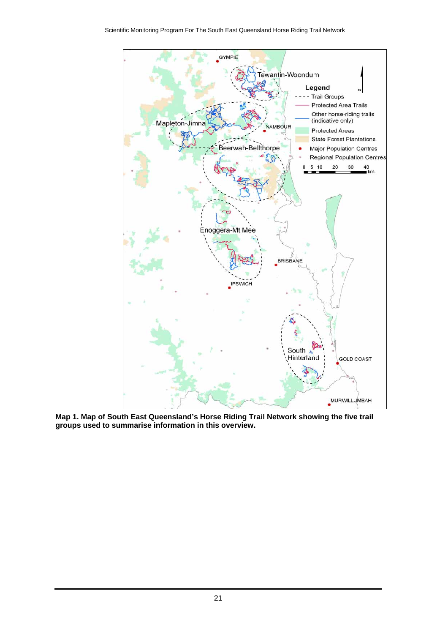

**Map 1. Map of South East Queensland's Horse Riding Trail Network showing the five trail groups used to summarise information in this overview.**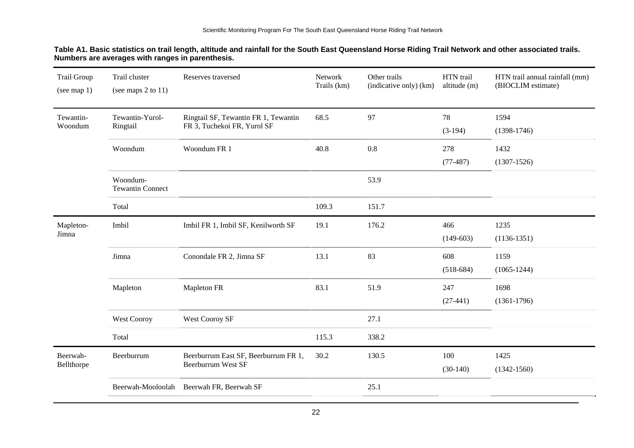| Table A1. Basic statistics on trail length, altitude and rainfall for the South East Queensland Horse Riding Trail Network and other associated trails. |  |
|---------------------------------------------------------------------------------------------------------------------------------------------------------|--|
| Numbers are averages with ranges in parenthesis.                                                                                                        |  |

| Trail Group<br>(see map $1$ ) | Trail cluster<br>(see maps $2$ to $11$ ) | Reserves traversed                                                  | Network<br>Trails (km) | Other trails<br>(indicative only) (km) | HTN trail<br>altitude (m) | HTN trail annual rainfall (mm)<br>(BIOCLIM estimate) |
|-------------------------------|------------------------------------------|---------------------------------------------------------------------|------------------------|----------------------------------------|---------------------------|------------------------------------------------------|
| Tewantin-<br>Woondum          | Tewantin-Yurol-<br>Ringtail              | Ringtail SF, Tewantin FR 1, Tewantin<br>FR 3, Tuchekoi FR, Yurol SF | 68.5                   | 97                                     | 78                        | 1594                                                 |
|                               |                                          |                                                                     |                        |                                        | $(3-194)$                 | $(1398-1746)$                                        |
|                               | Woondum                                  | Woondum FR 1                                                        | 40.8                   | 0.8                                    | 278                       | 1432                                                 |
|                               |                                          |                                                                     |                        |                                        | $(77-487)$                | $(1307-1526)$                                        |
|                               | Woondum-<br><b>Tewantin Connect</b>      |                                                                     |                        | 53.9                                   |                           |                                                      |
|                               | Total                                    |                                                                     | 109.3                  | 151.7                                  |                           |                                                      |
| Mapleton-                     | Imbil                                    | Imbil FR 1, Imbil SF, Kenilworth SF                                 | 19.1                   | 176.2                                  | 466                       | 1235                                                 |
| Jimna                         |                                          |                                                                     |                        |                                        | $(149-603)$               | $(1136-1351)$                                        |
|                               | Jimna                                    | Conondale FR 2, Jimna SF                                            | 13.1                   | 83                                     | 608                       | 1159                                                 |
|                               |                                          |                                                                     |                        |                                        | $(518-684)$               | $(1065-1244)$                                        |
|                               | Mapleton                                 | Mapleton FR                                                         | 83.1                   | 51.9                                   | 247                       | 1698                                                 |
|                               |                                          |                                                                     |                        |                                        | $(27-441)$                | $(1361-1796)$                                        |
|                               | <b>West Cooroy</b>                       | West Cooroy SF                                                      |                        | 27.1                                   |                           |                                                      |
|                               | Total                                    |                                                                     | 115.3                  | 338.2                                  |                           |                                                      |
| Beerwah-                      | Beerburrum                               | Beerburrum East SF, Beerburrum FR 1,                                | 30.2                   | 130.5                                  | 100                       | 1425                                                 |
| Bellthorpe                    |                                          | <b>Beerburrum West SF</b>                                           |                        |                                        | $(30-140)$                | $(1342 - 1560)$                                      |
|                               | Beerwah-Mooloolah                        | Beerwah FR, Beerwah SF                                              |                        | 25.1                                   |                           |                                                      |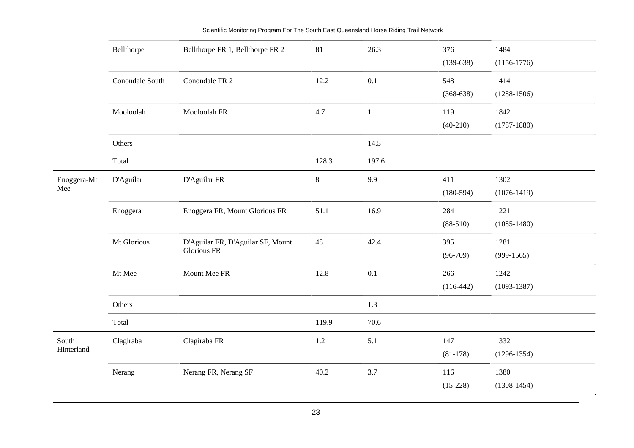|                     | Bellthorpe      | Bellthorpe FR 1, Bellthorpe FR 2                 | 81      | 26.3         | 376<br>$(139-638)$ | 1484<br>$(1156-1776)$   |
|---------------------|-----------------|--------------------------------------------------|---------|--------------|--------------------|-------------------------|
|                     | Conondale South | Conondale FR 2                                   | 12.2    | 0.1          | 548<br>$(368-638)$ | 1414<br>$(1288-1506)$   |
|                     | Mooloolah       | Mooloolah FR                                     | 4.7     | $\mathbf{1}$ | 119<br>$(40-210)$  | 1842<br>$(1787 - 1880)$ |
|                     | Others          |                                                  |         | 14.5         |                    |                         |
|                     | Total           |                                                  | 128.3   | 197.6        |                    |                         |
| Enoggera-Mt<br>Mee  | D'Aguilar       | D'Aguilar FR                                     | $\,8\,$ | 9.9          | 411<br>$(180-594)$ | 1302<br>$(1076-1419)$   |
|                     | Enoggera        | Enoggera FR, Mount Glorious FR                   | 51.1    | 16.9         | 284<br>$(88-510)$  | 1221<br>$(1085 - 1480)$ |
|                     | Mt Glorious     | D'Aguilar FR, D'Aguilar SF, Mount<br>Glorious FR | 48      | 42.4         | 395<br>$(96-709)$  | 1281<br>$(999-1565)$    |
|                     | Mt Mee          | Mount Mee FR                                     | 12.8    | 0.1          | 266<br>$(116-442)$ | 1242<br>$(1093-1387)$   |
|                     | Others          |                                                  |         | 1.3          |                    |                         |
|                     | Total           |                                                  | 119.9   | 70.6         |                    |                         |
| South<br>Hinterland | Clagiraba       | Clagiraba FR                                     | $1.2\,$ | 5.1          | 147<br>$(81-178)$  | 1332<br>$(1296 - 1354)$ |
|                     | Nerang          | Nerang FR, Nerang SF                             | 40.2    | 3.7          | 116<br>$(15-228)$  | 1380<br>$(1308-1454)$   |
|                     |                 |                                                  |         |              |                    |                         |

Scientific Monitoring Program For The South East Queensland Horse Riding Trail Network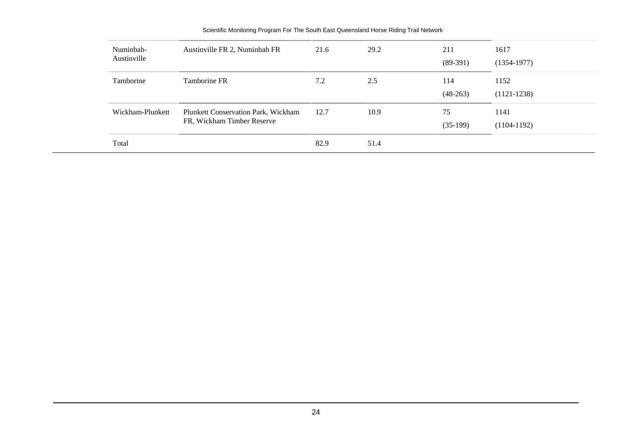| Numinbah-<br>Austinville | Austinville FR 2, Numinbah FR                                            | 21.6 | 29.2 | 211<br>$(89-391)$ | 1617<br>$(1354-1977)$ |  |
|--------------------------|--------------------------------------------------------------------------|------|------|-------------------|-----------------------|--|
| Tamborine                | Tamborine FR                                                             | 7.2  | 2.5  | 114<br>$(48-263)$ | 1152<br>$(1121-1238)$ |  |
| Wickham-Plunkett         | <b>Plunkett Conservation Park, Wickham</b><br>FR, Wickham Timber Reserve | 12.7 | 10.9 | 75<br>$(35-199)$  | 1141<br>$(1104-1192)$ |  |
| Total                    |                                                                          | 82.9 | 51.4 |                   |                       |  |

#### Scientific Monitoring Program For The South East Queensland Horse Riding Trail Network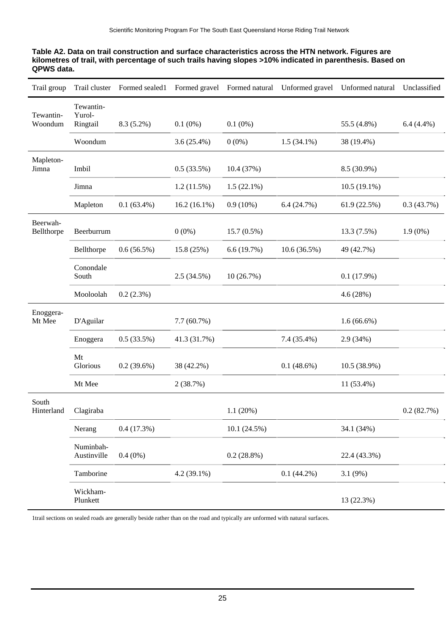| Table A2. Data on trail construction and surface characteristics across the HTN network. Figures are      |
|-----------------------------------------------------------------------------------------------------------|
| kilometres of trail, with percentage of such trails having slopes >10% indicated in parenthesis. Based on |
| QPWS data.                                                                                                |

| Trail group            | Trail cluster            | Formed sealed1 |                |               | Formed gravel Formed natural Unformed gravel | Unformed natural | Unclassified |
|------------------------|--------------------------|----------------|----------------|---------------|----------------------------------------------|------------------|--------------|
| Tewantin-              | Tewantin-<br>Yurol-      |                |                |               |                                              |                  |              |
| Woondum                | Ringtail                 | $8.3(5.2\%)$   | $0.1(0\%)$     | $0.1(0\%)$    |                                              | 55.5 (4.8%)      | $6.4(4.4\%)$ |
|                        | Woondum                  |                | $3.6(25.4\%)$  | $0(0\%)$      | $1.5(34.1\%)$                                | 38 (19.4%)       |              |
| Mapleton-<br>Jimna     | Imbil                    |                | 0.5(33.5%)     | 10.4 (37%)    |                                              | 8.5 (30.9%)      |              |
|                        | Jimna                    |                | 1.2(11.5%)     | $1.5(22.1\%)$ |                                              | $10.5(19.1\%)$   |              |
|                        | Mapleton                 | $0.1(63.4\%)$  | $16.2(16.1\%)$ | $0.9(10\%)$   | 6.4(24.7%)                                   | 61.9(22.5%)      | 0.3(43.7%)   |
| Beerwah-<br>Bellthorpe | Beerburrum               |                | $0(0\%)$       | $15.7(0.5\%)$ |                                              | 13.3(7.5%)       | $1.9(0\%)$   |
|                        | Bellthorpe               | 0.6(56.5%)     | 15.8 (25%)     | 6.6(19.7%)    | 10.6 (36.5%)                                 | 49 (42.7%)       |              |
|                        | Conondale<br>South       |                | 2.5(34.5%)     | 10(26.7%)     |                                              | 0.1(17.9%)       |              |
|                        | Mooloolah                | 0.2(2.3%)      |                |               |                                              | 4.6(28%)         |              |
| Enoggera-<br>Mt Mee    | D'Aguilar                |                | 7.7(60.7%)     |               |                                              | $1.6(66.6\%)$    |              |
|                        | Enoggera                 | 0.5(33.5%)     | 41.3 (31.7%)   |               | 7.4 (35.4%)                                  | 2.9 (34%)        |              |
|                        | Mt<br>Glorious           | $0.2(39.6\%)$  | 38 (42.2%)     |               | 0.1(48.6%)                                   | 10.5 (38.9%)     |              |
|                        | Mt Mee                   |                | 2(38.7%)       |               |                                              | 11 (53.4%)       |              |
| South<br>Hinterland    | Clagiraba                |                |                | 1.1(20%)      |                                              |                  | 0.2(82.7%)   |
|                        | Nerang                   | 0.4(17.3%)     |                | 10.1(24.5%)   |                                              | 34.1 (34%)       |              |
|                        | Numinbah-<br>Austinville | $0.4(0\%)$     |                | $0.2(28.8\%)$ |                                              | 22.4 (43.3%)     |              |
|                        | Tamborine                |                | $4.2(39.1\%)$  |               | $0.1(44.2\%)$                                | 3.1(9%)          |              |
|                        | Wickham-<br>Plunkett     |                |                |               |                                              | 13 (22.3%)       |              |

1trail sections on sealed roads are generally beside rather than on the road and typically are unformed with natural surfaces.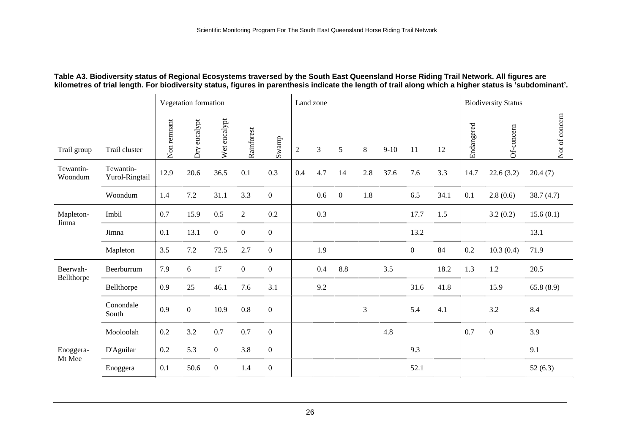#### **Table A3. Biodiversity status of Regional Ecosystems traversed by the South East Queensland Horse Riding Trail Network. All figures are kilometres of trial length. For biodiversity status, figures in parenthesis indicate the length of trail along which a higher status is 'subdominant'.**

|                        |                             |             | Vegetation formation |                  |                  |                  | Land zone      |         |                  |                |        |                  |      |            | <b>Biodiversity Status</b> |                |
|------------------------|-----------------------------|-------------|----------------------|------------------|------------------|------------------|----------------|---------|------------------|----------------|--------|------------------|------|------------|----------------------------|----------------|
| Trail group            | Trail cluster               | Non remnant | Dry eucalypt         | Wet eucalypt     | Rainforest       | Swamp            | $\overline{2}$ | 3       | 5                | 8              | $9-10$ | 11               | 12   | Endangered | Of-concern                 | Not of concern |
| Tewantin-<br>Woondum   | Tewantin-<br>Yurol-Ringtail | 12.9        | 20.6                 | 36.5             | 0.1              | 0.3              | 0.4            | 4.7     | 14               | 2.8            | 37.6   | 7.6              | 3.3  | 14.7       | 22.6(3.2)                  | 20.4(7)        |
|                        | Woondum                     | 1.4         | $7.2\,$              | 31.1             | 3.3              | $\boldsymbol{0}$ |                | 0.6     | $\boldsymbol{0}$ | 1.8            |        | $6.5\,$          | 34.1 | 0.1        | 2.8(0.6)                   | 38.7(4.7)      |
| Mapleton-              | Imbil                       | 0.7         | 15.9                 | 0.5              | $\overline{2}$   | $0.2\,$          |                | $0.3\,$ |                  |                |        | 17.7             | 1.5  |            | 3.2(0.2)                   | 15.6(0.1)      |
| Jimna                  | Jimna                       | 0.1         | 13.1                 | $\mathbf{0}$     | $\boldsymbol{0}$ | $\boldsymbol{0}$ |                |         |                  |                |        | 13.2             |      |            |                            | 13.1           |
|                        | Mapleton                    | 3.5         | $7.2\,$              | 72.5             | 2.7              | $\mathbf{0}$     |                | 1.9     |                  |                |        | $\boldsymbol{0}$ | 84   | $0.2\,$    | 10.3(0.4)                  | 71.9           |
| Beerwah-<br>Bellthorpe | Beerburrum                  | 7.9         | 6                    | 17               | $\mathbf{0}$     | $\overline{0}$   |                | 0.4     | 8.8              |                | 3.5    |                  | 18.2 | 1.3        | $1.2\,$                    | 20.5           |
|                        | Bellthorpe                  | 0.9         | 25                   | 46.1             | 7.6              | 3.1              |                | 9.2     |                  |                |        | 31.6             | 41.8 |            | 15.9                       | 65.8(8.9)      |
|                        | Conondale<br>South          | 0.9         | $\boldsymbol{0}$     | 10.9             | $0.8\,$          | $\boldsymbol{0}$ |                |         |                  | $\mathfrak{Z}$ |        | 5.4              | 4.1  |            | 3.2                        | 8.4            |
|                        | Mooloolah                   | 0.2         | $3.2\,$              | 0.7              | 0.7              | $\mathbf{0}$     |                |         |                  |                | 4.8    |                  |      | 0.7        | $\mathbf{0}$               | 3.9            |
| Enoggera-<br>Mt Mee    | D'Aguilar                   | $0.2\,$     | 5.3                  | $\mathbf{0}$     | 3.8              | $\boldsymbol{0}$ |                |         |                  |                |        | 9.3              |      |            |                            | 9.1            |
|                        | Enoggera                    | 0.1         | $50.6\,$             | $\boldsymbol{0}$ | 1.4              | $\boldsymbol{0}$ |                |         |                  |                |        | 52.1             |      |            |                            | 52(6.3)        |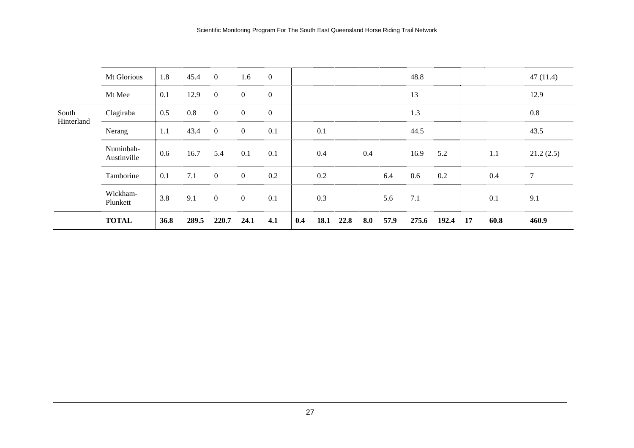|                     | Mt Glorious              | 1.8  | 45.4  | $\overline{0}$ | 1.6            | $\boldsymbol{0}$ |     |      |      |     |      | 48.8  |       |    |      | 47(11.4)       |
|---------------------|--------------------------|------|-------|----------------|----------------|------------------|-----|------|------|-----|------|-------|-------|----|------|----------------|
|                     | Mt Mee                   | 0.1  | 12.9  | $\overline{0}$ | $\overline{0}$ | $\boldsymbol{0}$ |     |      |      |     |      | 13    |       |    |      | 12.9           |
| South<br>Hinterland | Clagiraba                | 0.5  | 0.8   | $\mathbf{0}$   | $\overline{0}$ | $\mathbf{0}$     |     |      |      |     |      | 1.3   |       |    |      | $0.8\,$        |
|                     | Nerang                   | 1.1  | 43.4  | $\overline{0}$ | $\overline{0}$ | 0.1              |     | 0.1  |      |     |      | 44.5  |       |    |      | 43.5           |
|                     | Numinbah-<br>Austinville | 0.6  | 16.7  | 5.4            | 0.1            | 0.1              |     | 0.4  |      | 0.4 |      | 16.9  | 5.2   |    | 1.1  | 21.2(2.5)      |
|                     | Tamborine                | 0.1  | 7.1   | $\overline{0}$ | $\overline{0}$ | 0.2              |     | 0.2  |      |     | 6.4  | 0.6   | 0.2   |    | 0.4  | $\overline{7}$ |
|                     | Wickham-<br>Plunkett     | 3.8  | 9.1   | $\overline{0}$ | $\overline{0}$ | 0.1              |     | 0.3  |      |     | 5.6  | 7.1   |       |    | 0.1  | 9.1            |
|                     | <b>TOTAL</b>             | 36.8 | 289.5 | 220.7          | 24.1           | 4.1              | 0.4 | 18.1 | 22.8 | 8.0 | 57.9 | 275.6 | 192.4 | 17 | 60.8 | 460.9          |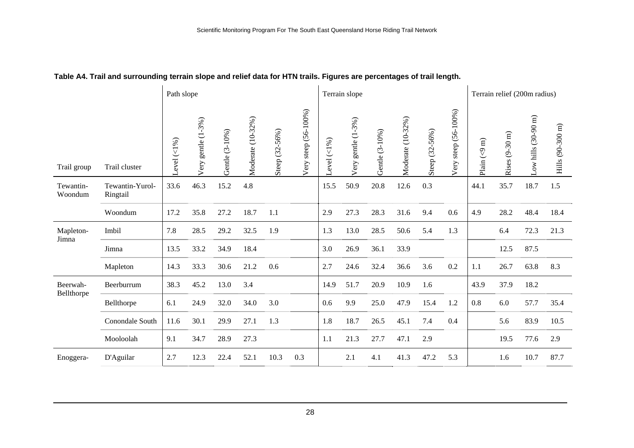|  |  | Table A4. Trail and surrounding terrain slope and relief data for HTN trails. Figures are percentages of trail length. |
|--|--|------------------------------------------------------------------------------------------------------------------------|
|  |  |                                                                                                                        |

|                        |                             | Path slope     |                       |                |                   |                |                      |                | Terrain slope                  |                |                   | Terrain relief (200m radius) |                      |                         |                |                    |                  |
|------------------------|-----------------------------|----------------|-----------------------|----------------|-------------------|----------------|----------------------|----------------|--------------------------------|----------------|-------------------|------------------------------|----------------------|-------------------------|----------------|--------------------|------------------|
| Trail group            | Trail cluster               | -evel $(<1\%)$ | gentle (1-3%)<br>Very | Gentle (3-10%) | Moderate (10-32%) | Steep (32-56%) | Very steep (56-100%) | -evel $(<1%$ ) | gentle (1-3%)<br>ery<br>$\geq$ | Gentle (3-10%) | Moderate (10-32%) | Steep (32-56%)               | Very steep (56-100%) | Plain $(< 9 \text{ m})$ | Rises (9-30 m) | ow hills (30-90 m) | Hills (90-300 m) |
| Tewantin-<br>Woondum   | Tewantin-Yurol-<br>Ringtail | 33.6           | 46.3                  | 15.2           | 4.8               |                |                      | 15.5           | 50.9                           | 20.8           | 12.6              | 0.3                          |                      | 44.1                    | 35.7           | 18.7               | 1.5              |
|                        | Woondum                     | 17.2           | 35.8                  | 27.2           | 18.7              | 1.1            |                      | 2.9            | 27.3                           | 28.3           | 31.6              | 9.4                          | 0.6                  | 4.9                     | 28.2           | 48.4               | 18.4             |
| Mapleton-<br>Jimna     | Imbil                       | 7.8            | 28.5                  | 29.2           | 32.5              | 1.9            |                      | 1.3            | 13.0                           | 28.5           | 50.6              | 5.4                          | 1.3                  |                         | 6.4            | 72.3               | 21.3             |
|                        | Jimna                       | 13.5           | 33.2                  | 34.9           | 18.4              |                |                      | 3.0            | 26.9                           | 36.1           | 33.9              |                              |                      |                         | 12.5           | 87.5               |                  |
|                        | Mapleton                    | 14.3           | 33.3                  | 30.6           | 21.2              | 0.6            |                      | 2.7            | 24.6                           | 32.4           | 36.6              | 3.6                          | $0.2\,$              | 1.1                     | 26.7           | 63.8               | 8.3              |
| Beerwah-<br>Bellthorpe | Beerburrum                  | 38.3           | 45.2                  | 13.0           | 3.4               |                |                      | 14.9           | 51.7                           | 20.9           | 10.9              | 1.6                          |                      | 43.9                    | 37.9           | 18.2               |                  |
|                        | Bellthorpe                  | 6.1            | 24.9                  | 32.0           | 34.0              | 3.0            |                      | 0.6            | 9.9                            | 25.0           | 47.9              | 15.4                         | 1.2                  | 0.8                     | 6.0            | 57.7               | 35.4             |
|                        | Conondale South             | 11.6           | 30.1                  | 29.9           | 27.1              | 1.3            |                      | 1.8            | 18.7                           | 26.5           | 45.1              | 7.4                          | 0.4                  |                         | 5.6            | 83.9               | 10.5             |
|                        | Mooloolah                   | 9.1            | 34.7                  | 28.9           | 27.3              |                |                      | 1.1            | 21.3                           | 27.7           | 47.1              | 2.9                          |                      |                         | 19.5           | 77.6               | 2.9              |
| Enoggera-              | D'Aguilar                   | 2.7            | 12.3                  | 22.4           | 52.1              | 10.3           | 0.3                  |                | 2.1                            | 4.1            | 41.3              | 47.2                         | 5.3                  |                         | 1.6            | 10.7               | 87.7             |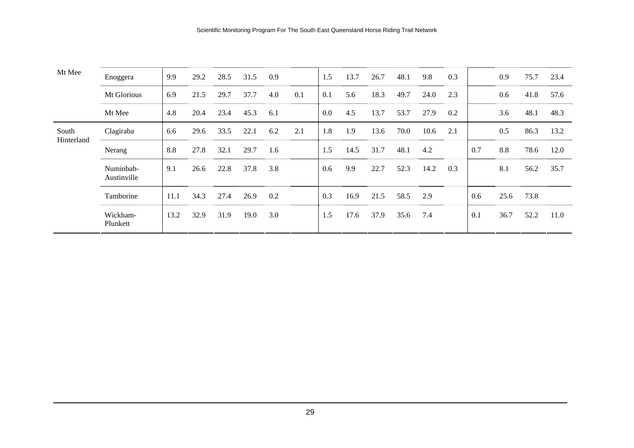| Mt Mee              | Enoggera                 | 9.9  | 29.2 | 28.5 | 31.5 | 0.9 |     | 1.5     | 13.7 | 26.7 | 48.1 | 9.8  | 0.3 |     | 0.9  | 75.7 | 23.4 |
|---------------------|--------------------------|------|------|------|------|-----|-----|---------|------|------|------|------|-----|-----|------|------|------|
|                     | Mt Glorious              | 6.9  | 21.5 | 29.7 | 37.7 | 4.0 | 0.1 | 0.1     | 5.6  | 18.3 | 49.7 | 24.0 | 2.3 |     | 0.6  | 41.8 | 57.6 |
|                     | Mt Mee                   | 4.8  | 20.4 | 23.4 | 45.3 | 6.1 |     | $0.0\,$ | 4.5  | 13.7 | 53.7 | 27.9 | 0.2 |     | 3.6  | 48.1 | 48.3 |
| South<br>Hinterland | Clagiraba                | 6.6  | 29.6 | 33.5 | 22.1 | 6.2 | 2.1 | 1.8     | 1.9  | 13.6 | 70.0 | 10.6 | 2.1 |     | 0.5  | 86.3 | 13.2 |
|                     | Nerang                   | 8.8  | 27.8 | 32.1 | 29.7 | 1.6 |     | 1.5     | 14.5 | 31.7 | 48.1 | 4.2  |     | 0.7 | 8.8  | 78.6 | 12.0 |
|                     | Numinbah-<br>Austinville | 9.1  | 26.6 | 22.8 | 37.8 | 3.8 |     | 0.6     | 9.9  | 22.7 | 52.3 | 14.2 | 0.3 |     | 8.1  | 56.2 | 35.7 |
|                     | Tamborine                | 11.1 | 34.3 | 27.4 | 26.9 | 0.2 |     | 0.3     | 16.9 | 21.5 | 58.5 | 2.9  |     | 0.6 | 25.6 | 73.8 |      |
|                     | Wickham-<br>Plunkett     | 13.2 | 32.9 | 31.9 | 19.0 | 3.0 |     | 1.5     | 17.6 | 37.9 | 35.6 | 7.4  |     | 0.1 | 36.7 | 52.2 | 11.0 |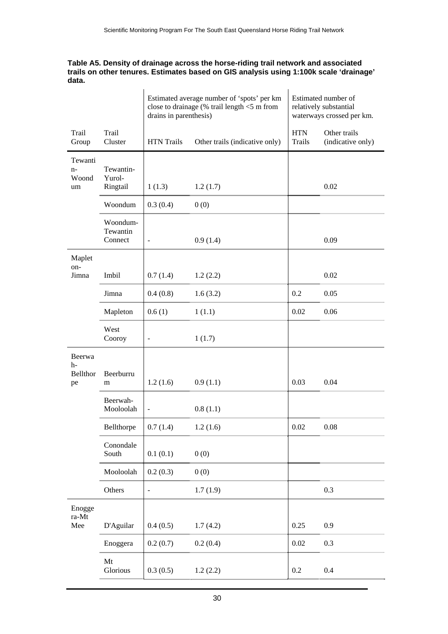#### **Table A5. Density of drainage across the horse-riding trail network and associated trails on other tenures. Estimates based on GIS analysis using 1:100k scale 'drainage' data.**

|                                  |                                 | drains in parenthesis) | Estimated average number of 'spots' per km<br>close to drainage (% trail length $<$ 5 m from |                             | Estimated number of<br>relatively substantial<br>waterways crossed per km. |
|----------------------------------|---------------------------------|------------------------|----------------------------------------------------------------------------------------------|-----------------------------|----------------------------------------------------------------------------|
| Trail<br>Group                   | Trail<br>Cluster                | <b>HTN</b> Trails      | Other trails (indicative only)                                                               | <b>HTN</b><br><b>Trails</b> | Other trails<br>(indicative only)                                          |
| Tewanti<br>$n-$<br>Woond<br>um   | Tewantin-<br>Yurol-<br>Ringtail | 1(1.3)                 | 1.2(1.7)                                                                                     |                             | 0.02                                                                       |
|                                  | Woondum                         | 0.3(0.4)               | 0(0)                                                                                         |                             |                                                                            |
|                                  | Woondum-<br>Tewantin<br>Connect | $\blacksquare$         | 0.9(1.4)                                                                                     |                             | 0.09                                                                       |
| Maplet                           |                                 |                        |                                                                                              |                             |                                                                            |
| on-<br>Jimna                     | Imbil                           | 0.7(1.4)               | 1.2(2.2)                                                                                     |                             | 0.02                                                                       |
|                                  | Jimna                           | 0.4(0.8)               | 1.6(3.2)                                                                                     | 0.2                         | 0.05                                                                       |
|                                  | Mapleton                        | 0.6(1)                 | 1(1.1)                                                                                       | 0.02                        | 0.06                                                                       |
|                                  | West<br>Cooroy                  | $\blacksquare$         | 1(1.7)                                                                                       |                             |                                                                            |
| Beerwa<br>$h-$<br>Bellthor<br>pe | Beerburru<br>m                  | 1.2(1.6)               | 0.9(1.1)                                                                                     | 0.03                        | 0.04                                                                       |
|                                  | Beerwah-<br>Mooloolah           | $\blacksquare$         | 0.8(1.1)                                                                                     |                             |                                                                            |
|                                  | Bellthorpe                      | 0.7(1.4)               | 1.2(1.6)                                                                                     | 0.02                        | 0.08                                                                       |
|                                  | Conondale<br>South              | 0.1(0.1)               | 0(0)                                                                                         |                             |                                                                            |
|                                  | Mooloolah                       | 0.2(0.3)               | 0(0)                                                                                         |                             |                                                                            |
|                                  | Others                          | $\blacksquare$         | 1.7(1.9)                                                                                     |                             | 0.3                                                                        |
| Enogge<br>ra-Mt<br>Mee           | D'Aguilar                       | 0.4(0.5)               | 1.7(4.2)                                                                                     | 0.25                        | 0.9                                                                        |
|                                  | Enoggera                        | 0.2(0.7)               | 0.2(0.4)                                                                                     | 0.02                        | 0.3                                                                        |
|                                  | Mt                              |                        |                                                                                              |                             |                                                                            |
|                                  | Glorious                        | 0.3(0.5)               | 1.2(2.2)                                                                                     | $0.2\,$                     | 0.4                                                                        |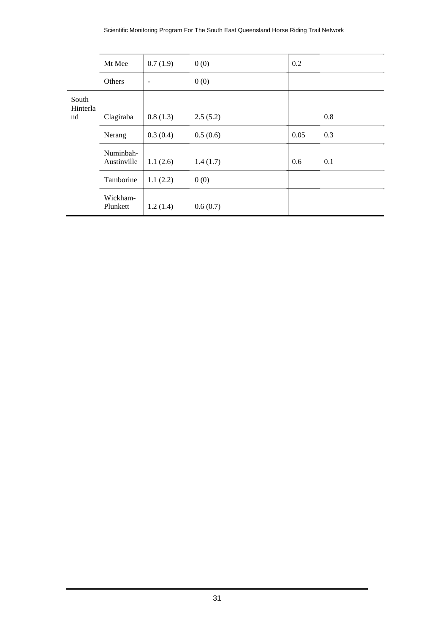|                   | Mt Mee                   | 0.7(1.9)                 | 0(0)     | 0.2  |     |
|-------------------|--------------------------|--------------------------|----------|------|-----|
|                   | Others                   | $\overline{\phantom{a}}$ | 0(0)     |      |     |
| South<br>Hinterla |                          |                          |          |      |     |
| nd                | Clagiraba                | 0.8(1.3)                 | 2.5(5.2) |      | 0.8 |
|                   | Nerang                   | 0.3(0.4)                 | 0.5(0.6) | 0.05 | 0.3 |
|                   | Numinbah-<br>Austinville | 1.1(2.6)                 | 1.4(1.7) | 0.6  | 0.1 |
|                   | Tamborine                | 1.1(2.2)                 | 0(0)     |      |     |
|                   | Wickham-<br>Plunkett     | 1.2(1.4)                 | 0.6(0.7) |      |     |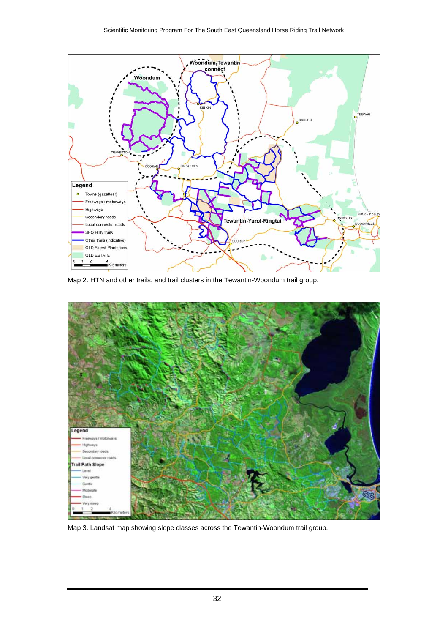

Map 2. HTN and other trails, and trail clusters in the Tewantin-Woondum trail group.



Map 3. Landsat map showing slope classes across the Tewantin-Woondum trail group.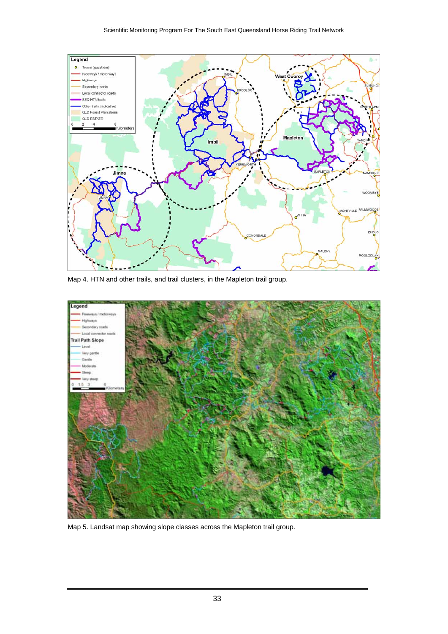

Map 4. HTN and other trails, and trail clusters, in the Mapleton trail group.



Map 5. Landsat map showing slope classes across the Mapleton trail group.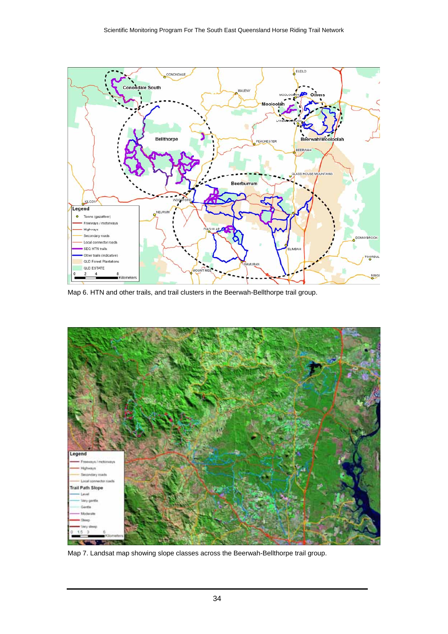

Map 6. HTN and other trails, and trail clusters in the Beerwah-Bellthorpe trail group.



Map 7. Landsat map showing slope classes across the Beerwah-Bellthorpe trail group.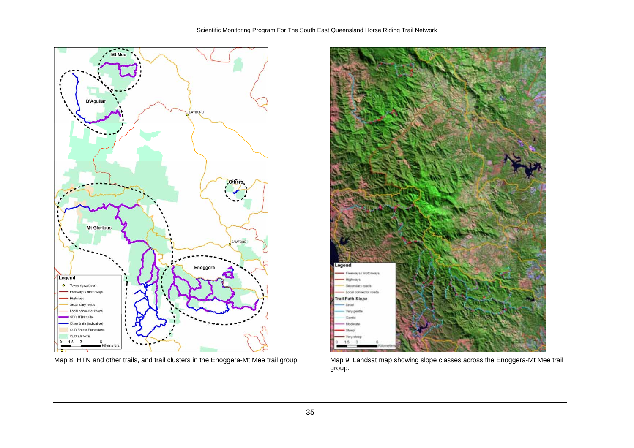



Map 8. HTN and other trails, and trail clusters in the Enoggera-Mt Mee trail group. Map 9. Landsat map showing slope classes across the Enoggera-Mt Mee trail group.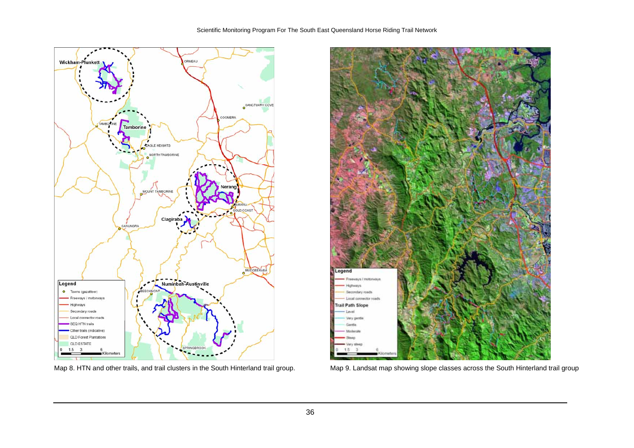



Map 8. HTN and other trails, and trail clusters in the South Hinterland trail group. Map 9. Landsat map showing slope classes across the South Hinterland trail group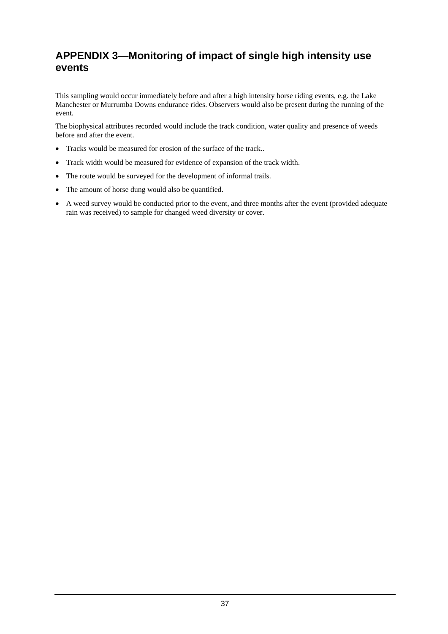### <span id="page-36-0"></span>**APPENDIX 3—Monitoring of impact of single high intensity use events**

This sampling would occur immediately before and after a high intensity horse riding events, e.g. the Lake Manchester or Murrumba Downs endurance rides. Observers would also be present during the running of the event.

The biophysical attributes recorded would include the track condition, water quality and presence of weeds before and after the event.

- Tracks would be measured for erosion of the surface of the track..
- Track width would be measured for evidence of expansion of the track width.
- The route would be surveyed for the development of informal trails.
- The amount of horse dung would also be quantified.
- A weed survey would be conducted prior to the event, and three months after the event (provided adequate rain was received) to sample for changed weed diversity or cover.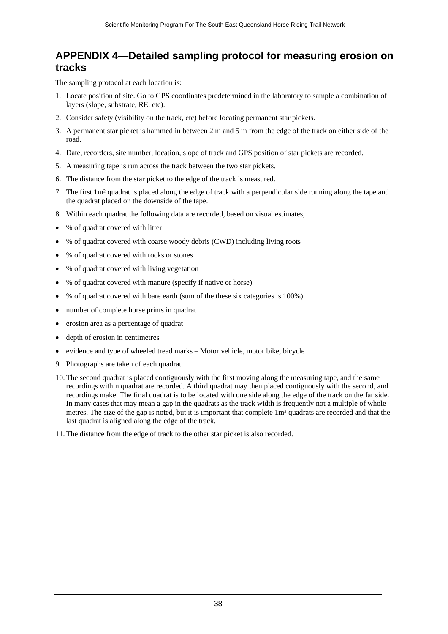### <span id="page-37-0"></span>**APPENDIX 4—Detailed sampling protocol for measuring erosion on tracks**

The sampling protocol at each location is:

- 1. Locate position of site. Go to GPS coordinates predetermined in the laboratory to sample a combination of layers (slope, substrate, RE, etc).
- 2. Consider safety (visibility on the track, etc) before locating permanent star pickets.
- 3. A permanent star picket is hammed in between 2 m and 5 m from the edge of the track on either side of the road.
- 4. Date, recorders, site number, location, slope of track and GPS position of star pickets are recorded.
- 5. A measuring tape is run across the track between the two star pickets.
- 6. The distance from the star picket to the edge of the track is measured.
- 7. The first 1m² quadrat is placed along the edge of track with a perpendicular side running along the tape and the quadrat placed on the downside of the tape.
- 8. Within each quadrat the following data are recorded, based on visual estimates;
- % of quadrat covered with litter
- % of quadrat covered with coarse woody debris (CWD) including living roots
- % of quadrat covered with rocks or stones
- % of quadrat covered with living vegetation
- % of quadrat covered with manure (specify if native or horse)
- % of quadrat covered with bare earth (sum of the these six categories is 100%)
- number of complete horse prints in quadrat
- erosion area as a percentage of quadrat
- depth of erosion in centimetres
- evidence and type of wheeled tread marks Motor vehicle, motor bike, bicycle
- 9. Photographs are taken of each quadrat.
- 10. The second quadrat is placed contiguously with the first moving along the measuring tape, and the same recordings within quadrat are recorded. A third quadrat may then placed contiguously with the second, and recordings make. The final quadrat is to be located with one side along the edge of the track on the far side. In many cases that may mean a gap in the quadrats as the track width is frequently not a multiple of whole metres. The size of the gap is noted, but it is important that complete 1m² quadrats are recorded and that the last quadrat is aligned along the edge of the track.
- 11. The distance from the edge of track to the other star picket is also recorded.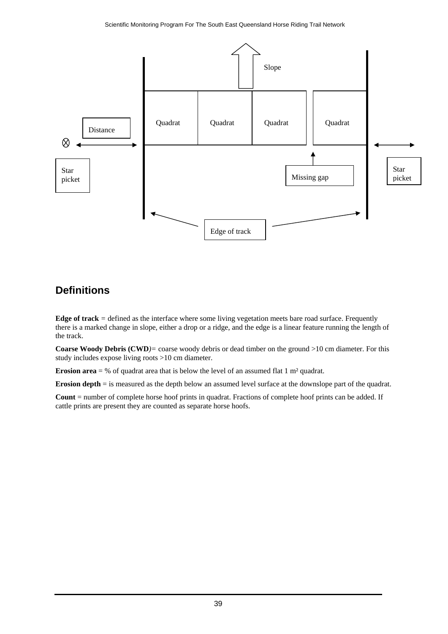

### <span id="page-38-0"></span>**Definitions**

**Edge of track** *=* defined as the interface where some living vegetation meets bare road surface. Frequently there is a marked change in slope, either a drop or a ridge, and the edge is a linear feature running the length of the track.

**Coarse Woody Debris (CWD***)=* coarse woody debris or dead timber on the ground >10 cm diameter. For this study includes expose living roots >10 cm diameter.

**Erosion area** = % of quadrat area that is below the level of an assumed flat 1 m<sup>2</sup> quadrat.

**Erosion depth** = is measured as the depth below an assumed level surface at the downslope part of the quadrat.

**Count** = number of complete horse hoof prints in quadrat. Fractions of complete hoof prints can be added. If cattle prints are present they are counted as separate horse hoofs.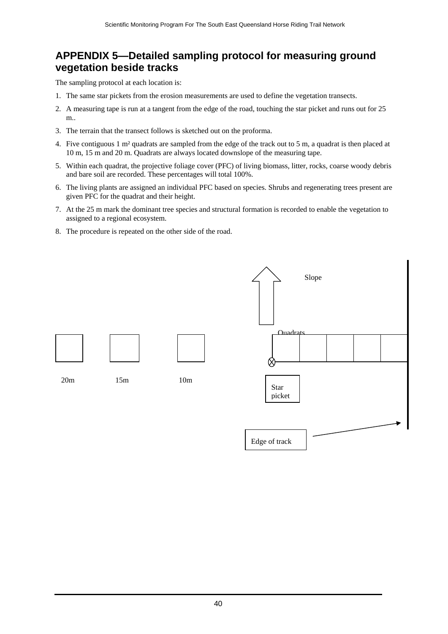### <span id="page-39-0"></span>**APPENDIX 5—Detailed sampling protocol for measuring ground vegetation beside tracks**

The sampling protocol at each location is:

- 1. The same star pickets from the erosion measurements are used to define the vegetation transects.
- 2. A measuring tape is run at a tangent from the edge of the road, touching the star picket and runs out for 25 m..
- 3. The terrain that the transect follows is sketched out on the proforma.
- 4. Five contiguous 1 m² quadrats are sampled from the edge of the track out to 5 m, a quadrat is then placed at 10 m, 15 m and 20 m. Quadrats are always located downslope of the measuring tape.
- 5. Within each quadrat, the projective foliage cover (PFC) of living biomass, litter, rocks, coarse woody debris and bare soil are recorded. These percentages will total 100%.
- 6. The living plants are assigned an individual PFC based on species. Shrubs and regenerating trees present are given PFC for the quadrat and their height.
- 7. At the 25 m mark the dominant tree species and structural formation is recorded to enable the vegetation to assigned to a regional ecosystem.
- 8. The procedure is repeated on the other side of the road.

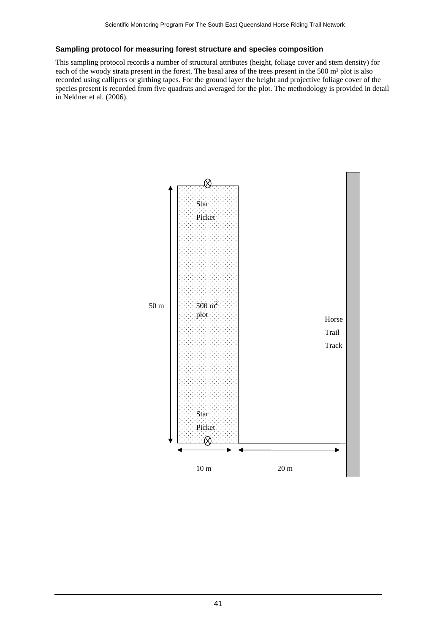#### **Sampling protocol for measuring forest structure and species composition**

This sampling protocol records a number of structural attributes (height, foliage cover and stem density) for each of the woody strata present in the forest. The basal area of the trees present in the 500 m² plot is also recorded using callipers or girthing tapes. For the ground layer the height and projective foliage cover of the species present is recorded from five quadrats and averaged for the plot. The methodology is provided in detail in Neldner et al. (2006).

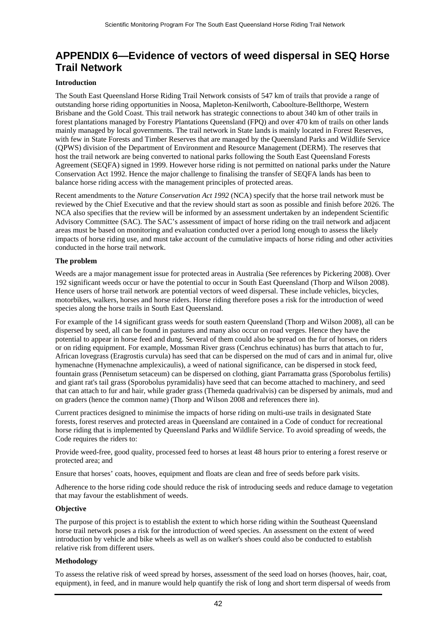### <span id="page-41-0"></span>**APPENDIX 6—Evidence of vectors of weed dispersal in SEQ Horse Trail Network**

#### **Introduction**

The South East Queensland Horse Riding Trail Network consists of 547 km of trails that provide a range of outstanding horse riding opportunities in Noosa, Mapleton-Kenilworth, Caboolture-Bellthorpe, Western Brisbane and the Gold Coast. This trail network has strategic connections to about 340 km of other trails in forest plantations managed by Forestry Plantations Queensland (FPQ) and over 470 km of trails on other lands mainly managed by local governments. The trail network in State lands is mainly located in Forest Reserves, with few in State Forests and Timber Reserves that are managed by the Queensland Parks and Wildlife Service (QPWS) division of the Department of Environment and Resource Management (DERM). The reserves that host the trail network are being converted to national parks following the South East Queensland Forests Agreement (SEQFA) signed in 1999. However horse riding is not permitted on national parks under the Nature Conservation Act 1992. Hence the major challenge to finalising the transfer of SEQFA lands has been to balance horse riding access with the management principles of protected areas.

Recent amendments to the *Nature Conservation Act 1992* (NCA) specify that the horse trail network must be reviewed by the Chief Executive and that the review should start as soon as possible and finish before 2026. The NCA also specifies that the review will be informed by an assessment undertaken by an independent Scientific Advisory Committee (SAC). The SAC's assessment of impact of horse riding on the trail network and adjacent areas must be based on monitoring and evaluation conducted over a period long enough to assess the likely impacts of horse riding use, and must take account of the cumulative impacts of horse riding and other activities conducted in the horse trail network.

#### **The problem**

Weeds are a major management issue for protected areas in Australia (See references by Pickering 2008). Over 192 significant weeds occur or have the potential to occur in South East Queensland (Thorp and Wilson 2008). Hence users of horse trail network are potential vectors of weed dispersal. These include vehicles, bicycles, motorbikes, walkers, horses and horse riders. Horse riding therefore poses a risk for the introduction of weed species along the horse trails in South East Queensland.

For example of the 14 significant grass weeds for south eastern Queensland (Thorp and Wilson 2008), all can be dispersed by seed, all can be found in pastures and many also occur on road verges. Hence they have the potential to appear in horse feed and dung. Several of them could also be spread on the fur of horses, on riders or on riding equipment. For example, Mossman River grass (Cenchrus echinatus) has burrs that attach to fur, African lovegrass (Eragrostis curvula) has seed that can be dispersed on the mud of cars and in animal fur, olive hymenachne (Hymenachne amplexicaulis), a weed of national significance, can be dispersed in stock feed, fountain grass (Pennisetum setaceum) can be dispersed on clothing, giant Parramatta grass (Sporobolus fertilis) and giant rat's tail grass (Sporobolus pyramidalis) have seed that can become attached to machinery, and seed that can attach to fur and hair, while grader grass (Themeda quadrivalvis) can be dispersed by animals, mud and on graders (hence the common name) (Thorp and Wilson 2008 and references there in).

Current practices designed to minimise the impacts of horse riding on multi-use trails in designated State forests, forest reserves and protected areas in Queensland are contained in a Code of conduct for recreational horse riding that is implemented by Queensland Parks and Wildlife Service. To avoid spreading of weeds, the Code requires the riders to:

Provide weed-free, good quality, processed feed to horses at least 48 hours prior to entering a forest reserve or protected area; and

Ensure that horses' coats, hooves, equipment and floats are clean and free of seeds before park visits.

Adherence to the horse riding code should reduce the risk of introducing seeds and reduce damage to vegetation that may favour the establishment of weeds.

#### **Objective**

The purpose of this project is to establish the extent to which horse riding within the Southeast Queensland horse trail network poses a risk for the introduction of weed species. An assessment on the extent of weed introduction by vehicle and bike wheels as well as on walker's shoes could also be conducted to establish relative risk from different users.

#### **Methodology**

To assess the relative risk of weed spread by horses, assessment of the seed load on horses (hooves, hair, coat, equipment), in feed, and in manure would help quantify the risk of long and short term dispersal of weeds from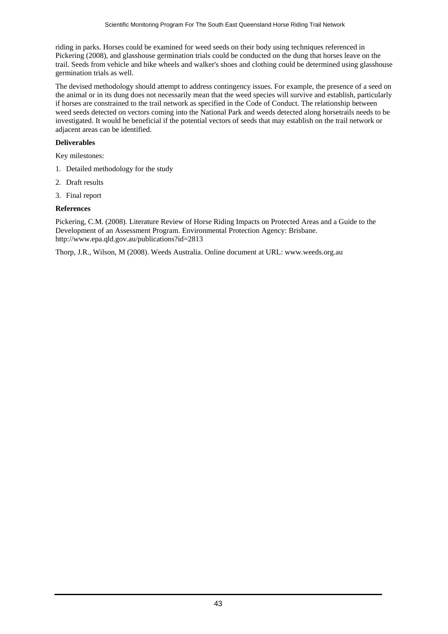riding in parks. Horses could be examined for weed seeds on their body using techniques referenced in Pickering (2008), and glasshouse germination trials could be conducted on the dung that horses leave on the trail. Seeds from vehicle and bike wheels and walker's shoes and clothing could be determined using glasshouse germination trials as well.

The devised methodology should attempt to address contingency issues. For example, the presence of a seed on the animal or in its dung does not necessarily mean that the weed species will survive and establish, particularly if horses are constrained to the trail network as specified in the Code of Conduct. The relationship between weed seeds detected on vectors coming into the National Park and weeds detected along horsetrails needs to be investigated. It would be beneficial if the potential vectors of seeds that may establish on the trail network or adjacent areas can be identified.

#### **Deliverables**

Key milestones:

- 1. Detailed methodology for the study
- 2. Draft results
- 3. Final report

#### **References**

Pickering, C.M. (2008). Literature Review of Horse Riding Impacts on Protected Areas and a Guide to the Development of an Assessment Program. Environmental Protection Agency: Brisbane. http://www.epa.qld.gov.au/publications?id=2813

Thorp, J.R., Wilson, M (2008). Weeds Australia. Online document at URL: www.weeds.org.au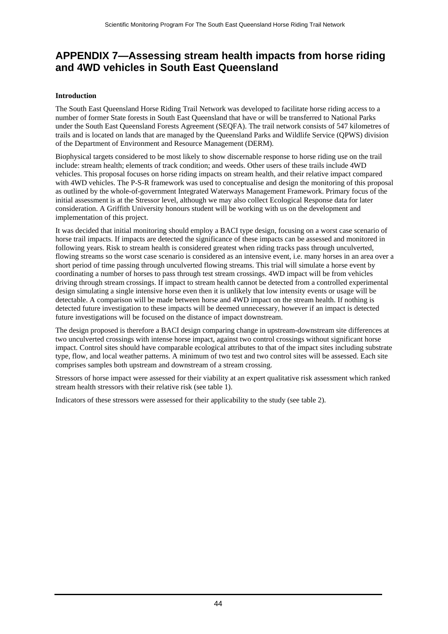### <span id="page-43-0"></span>**APPENDIX 7—Assessing stream health impacts from horse riding and 4WD vehicles in South East Queensland**

#### **Introduction**

The South East Queensland Horse Riding Trail Network was developed to facilitate horse riding access to a number of former State forests in South East Queensland that have or will be transferred to National Parks under the South East Queensland Forests Agreement (SEQFA). The trail network consists of 547 kilometres of trails and is located on lands that are managed by the Queensland Parks and Wildlife Service (QPWS) division of the Department of Environment and Resource Management (DERM).

Biophysical targets considered to be most likely to show discernable response to horse riding use on the trail include: stream health; elements of track condition; and weeds. Other users of these trails include 4WD vehicles. This proposal focuses on horse riding impacts on stream health, and their relative impact compared with 4WD vehicles. The P-S-R framework was used to conceptualise and design the monitoring of this proposal as outlined by the whole-of-government Integrated Waterways Management Framework. Primary focus of the initial assessment is at the Stressor level, although we may also collect Ecological Response data for later consideration. A Griffith University honours student will be working with us on the development and implementation of this project.

It was decided that initial monitoring should employ a BACI type design, focusing on a worst case scenario of horse trail impacts. If impacts are detected the significance of these impacts can be assessed and monitored in following years. Risk to stream health is considered greatest when riding tracks pass through unculverted, flowing streams so the worst case scenario is considered as an intensive event, i.e. many horses in an area over a short period of time passing through unculverted flowing streams. This trial will simulate a horse event by coordinating a number of horses to pass through test stream crossings. 4WD impact will be from vehicles driving through stream crossings. If impact to stream health cannot be detected from a controlled experimental design simulating a single intensive horse even then it is unlikely that low intensity events or usage will be detectable. A comparison will be made between horse and 4WD impact on the stream health. If nothing is detected future investigation to these impacts will be deemed unnecessary, however if an impact is detected future investigations will be focused on the distance of impact downstream.

The design proposed is therefore a BACI design comparing change in upstream-downstream site differences at two unculverted crossings with intense horse impact, against two control crossings without significant horse impact. Control sites should have comparable ecological attributes to that of the impact sites including substrate type, flow, and local weather patterns. A minimum of two test and two control sites will be assessed. Each site comprises samples both upstream and downstream of a stream crossing.

Stressors of horse impact were assessed for their viability at an expert qualitative risk assessment which ranked stream health stressors with their relative risk (see table 1).

Indicators of these stressors were assessed for their applicability to the study (see table 2).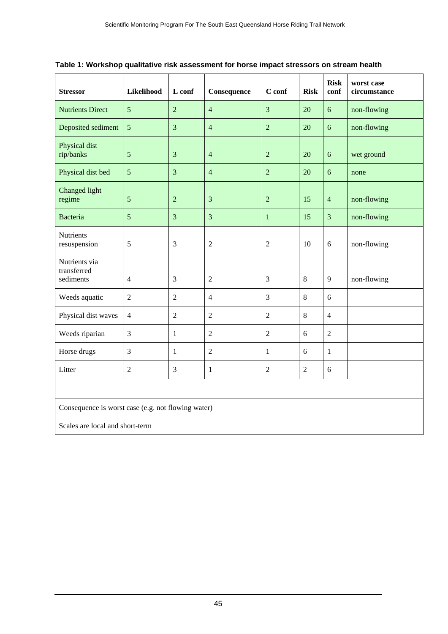| <b>Stressor</b>                                    | Likelihood     | L conf         | Consequence    | C conf         | <b>Risk</b>    | <b>Risk</b><br>conf | worst case<br>circumstance |  |
|----------------------------------------------------|----------------|----------------|----------------|----------------|----------------|---------------------|----------------------------|--|
| <b>Nutrients Direct</b>                            | 5              | $\overline{2}$ | $\overline{4}$ | 3              | 20             | 6                   | non-flowing                |  |
| Deposited sediment                                 | 5              | 3              | $\overline{4}$ | $\overline{2}$ | 20             | 6                   | non-flowing                |  |
| Physical dist<br>rip/banks                         | 5              | 3              | $\overline{4}$ | $\overline{2}$ | 20             | 6                   | wet ground                 |  |
| Physical dist bed                                  | 5              | 3              | $\overline{4}$ | $\overline{2}$ | 20             | 6                   | none                       |  |
| Changed light<br>regime                            | $\sqrt{5}$     | $\overline{2}$ | $\overline{3}$ | $\mathbf 2$    | 15             | $\overline{4}$      | non-flowing                |  |
| <b>Bacteria</b>                                    | 5              | 3              | $\overline{3}$ | $\mathbf{1}$   | 15             | $\overline{3}$      | non-flowing                |  |
| <b>Nutrients</b><br>resuspension                   | 5              | 3              | $\overline{2}$ | $\overline{2}$ | 10             | 6                   | non-flowing                |  |
| Nutrients via<br>transferred<br>sediments          | $\overline{4}$ | 3              | $\overline{2}$ | $\mathfrak{Z}$ | 8              | 9                   | non-flowing                |  |
| Weeds aquatic                                      | $\overline{2}$ | $\overline{2}$ | $\overline{4}$ | 3              | 8              | 6                   |                            |  |
| Physical dist waves                                | $\overline{4}$ | $\overline{2}$ | $\overline{2}$ | $\overline{c}$ | 8              | $\overline{4}$      |                            |  |
| Weeds riparian                                     | 3              | $\mathbf{1}$   | $\overline{2}$ | $\overline{2}$ | 6              | $\overline{2}$      |                            |  |
| Horse drugs                                        | 3              | $\mathbf{1}$   | $\overline{2}$ | $\mathbf{1}$   | 6              | $\mathbf{1}$        |                            |  |
| Litter                                             | $\overline{2}$ | 3              | $\mathbf{1}$   | $\overline{c}$ | $\overline{2}$ | 6                   |                            |  |
|                                                    |                |                |                |                |                |                     |                            |  |
| Consequence is worst case (e.g. not flowing water) |                |                |                |                |                |                     |                            |  |
| Scales are local and short-term                    |                |                |                |                |                |                     |                            |  |

**Table 1: Workshop qualitative risk assessment for horse impact stressors on stream health**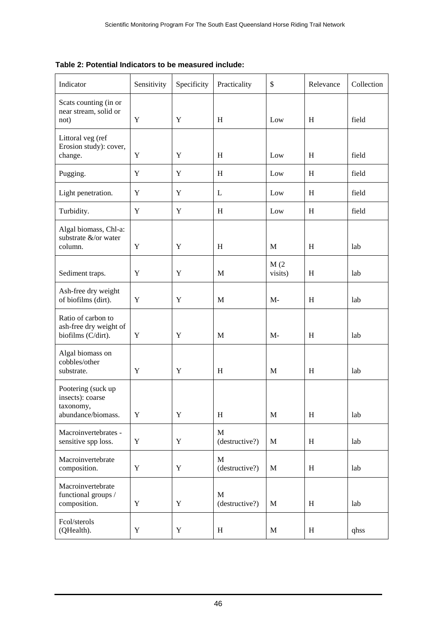| Table 2: Potential Indicators to be measured include: |
|-------------------------------------------------------|
|-------------------------------------------------------|

| Indicator                                                                 | Sensitivity | Specificity | Practicality                   | \$          | Relevance | Collection |
|---------------------------------------------------------------------------|-------------|-------------|--------------------------------|-------------|-----------|------------|
| Scats counting (in or<br>near stream, solid or<br>not)                    | Y           | Y           | H                              | Low         | H         | field      |
| Littoral veg (ref                                                         |             |             |                                |             |           |            |
| Erosion study): cover,<br>change.                                         | Y           | Y           | H                              | Low         | H         | field      |
| Pugging.                                                                  | $\mathbf Y$ | $\mathbf Y$ | H                              | Low         | H         | field      |
| Light penetration.                                                        | Y           | Y           | L                              | Low         | H         | field      |
| Turbidity.                                                                | Y           | Y           | H                              | Low         | H         | field      |
| Algal biomass, Chl-a:<br>substrate &/or water<br>column.                  | Y           | Y           | H                              | M           | H         | lab        |
|                                                                           |             |             |                                | M(2)        |           |            |
| Sediment traps.                                                           | Y           | Y           | M                              | visits)     | H         | lab        |
| Ash-free dry weight<br>of biofilms (dirt).                                | Y           | Y           | M                              | $M-$        | H         | lab        |
| Ratio of carbon to<br>ash-free dry weight of<br>biofilms (C/dirt).        | Y           | Y           | M                              | $M-$        | H         | lab        |
| Algal biomass on<br>cobbles/other<br>substrate.                           | Y           | Y           | H                              | M           | H         | lab        |
| Pootering (suck up<br>insects): coarse<br>taxonomy,<br>abundance/biomass. | Y           | Y           | $H_{\rm}$                      | $\mathbf M$ | $H_{\rm}$ | lab        |
| Macroinvertebrates -<br>sensitive spp loss.                               | Y           | Y           | $\mathbf{M}$<br>(destructive?) | M           | H         | lab        |
| Macroinvertebrate<br>composition.                                         | Y           | Y           | M<br>(destructive?)            | M           | H         | lab        |
| Macroinvertebrate<br>functional groups /<br>composition.                  | Y           | Y           | M<br>(destructive?)            | M           | H         | lab        |
| Fcol/sterols<br>(QHealth).                                                | Y           | Y           | H                              | M           | H         | qhss       |